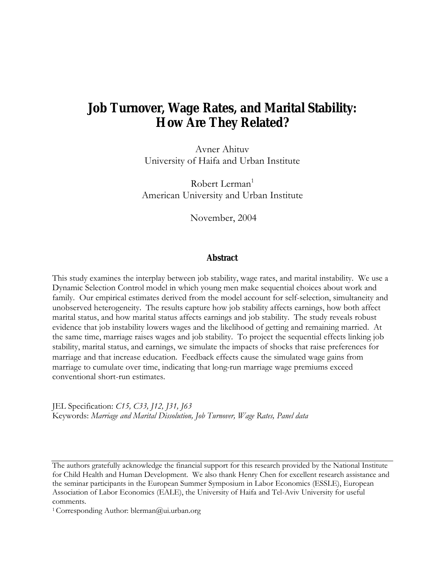# **Job Turnover, Wage Rates, and Marital Stability: How Are They Related?**

Avner Ahituv University of Haifa and Urban Institute

Robert Lerman $1$ American University and Urban Institute

November, 2004

### **Abstract**

This study examines the interplay between job stability, wage rates, and marital instability. We use a Dynamic Selection Control model in which young men make sequential choices about work and family. Our empirical estimates derived from the model account for self-selection, simultaneity and unobserved heterogeneity. The results capture how job stability affects earnings, how both affect marital status, and how marital status affects earnings and job stability. The study reveals robust evidence that job instability lowers wages and the likelihood of getting and remaining married. At the same time, marriage raises wages and job stability. To project the sequential effects linking job stability, marital status, and earnings, we simulate the impacts of shocks that raise preferences for marriage and that increase education. Feedback effects cause the simulated wage gains from marriage to cumulate over time, indicating that long-run marriage wage premiums exceed conventional short-run estimates.

JEL Specification: *C15, C33, J12, J31, J63* Keywords: *Marriage and Marital Dissolution, Job Turnover, Wage Rates, Panel data*

The authors gratefully acknowledge the financial support for this research provided by the National Institute for Child Health and Human Development. We also thank Henry Chen for excellent research assistance and the seminar participants in the European Summer Symposium in Labor Economics (ESSLE), European Association of Labor Economics (EALE), the University of Haifa and Tel-Aviv University for useful comments.

<sup>1</sup> Corresponding Author: blerman@ui.urban.org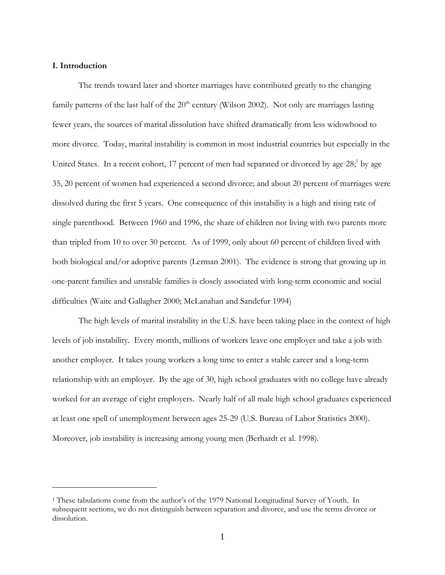### **I. Introduction**

1

 The trends toward later and shorter marriages have contributed greatly to the changing family patterns of the last half of the  $20<sup>th</sup>$  century (Wilson 2002). Not only are marriages lasting fewer years, the sources of marital dissolution have shifted dramatically from less widowhood to more divorce. Today, marital instability is common in most industrial countries but especially in the United States. In a recent cohort, 17 percent of men had separated or divorced by age 28;<sup>1</sup> by age 35, 20 percent of women had experienced a second divorce; and about 20 percent of marriages were dissolved during the first 5 years. One consequence of this instability is a high and rising rate of single parenthood. Between 1960 and 1996, the share of children not living with two parents more than tripled from 10 to over 30 percent. As of 1999, only about 60 percent of children lived with both biological and/or adoptive parents (Lerman 2001). The evidence is strong that growing up in one-parent families and unstable families is closely associated with long-term economic and social difficulties (Waite and Gallagher 2000; McLanahan and Sandefur 1994)

The high levels of marital instability in the U.S. have been taking place in the context of high levels of job instability. Every month, millions of workers leave one employer and take a job with another employer. It takes young workers a long time to enter a stable career and a long-term relationship with an employer. By the age of 30, high school graduates with no college have already worked for an average of eight employers. Nearly half of all male high school graduates experienced at least one spell of unemployment between ages 25-29 (U.S. Bureau of Labor Statistics 2000). Moreover, job instability is increasing among young men (Berhardt et al. 1998).

<sup>1</sup> These tabulations come from the author's of the 1979 National Longitudinal Survey of Youth. In subsequent sections, we do not distinguish between separation and divorce, and use the terms divorce or dissolution.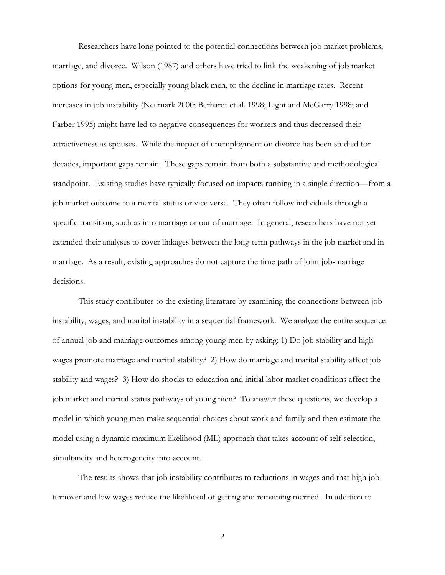Researchers have long pointed to the potential connections between job market problems, marriage, and divorce. Wilson (1987) and others have tried to link the weakening of job market options for young men, especially young black men, to the decline in marriage rates. Recent increases in job instability (Neumark 2000; Berhardt et al. 1998; Light and McGarry 1998; and Farber 1995) might have led to negative consequences for workers and thus decreased their attractiveness as spouses. While the impact of unemployment on divorce has been studied for decades, important gaps remain. These gaps remain from both a substantive and methodological standpoint. Existing studies have typically focused on impacts running in a single direction—from a job market outcome to a marital status or vice versa. They often follow individuals through a specific transition, such as into marriage or out of marriage. In general, researchers have not yet extended their analyses to cover linkages between the long-term pathways in the job market and in marriage. As a result, existing approaches do not capture the time path of joint job-marriage decisions.

This study contributes to the existing literature by examining the connections between job instability, wages, and marital instability in a sequential framework. We analyze the entire sequence of annual job and marriage outcomes among young men by asking: 1) Do job stability and high wages promote marriage and marital stability? 2) How do marriage and marital stability affect job stability and wages? 3) How do shocks to education and initial labor market conditions affect the job market and marital status pathways of young men? To answer these questions, we develop a model in which young men make sequential choices about work and family and then estimate the model using a dynamic maximum likelihood (ML) approach that takes account of self-selection, simultaneity and heterogeneity into account.

 The results shows that job instability contributes to reductions in wages and that high job turnover and low wages reduce the likelihood of getting and remaining married. In addition to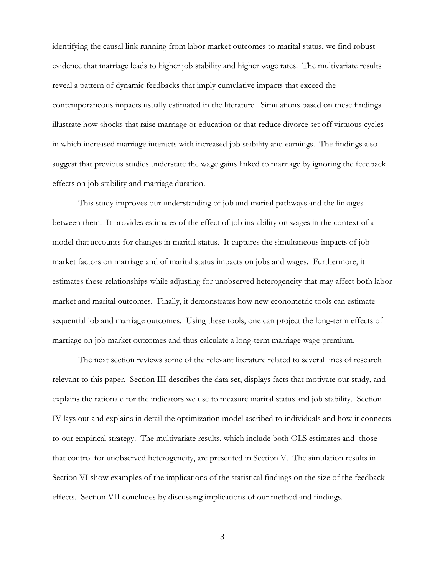identifying the causal link running from labor market outcomes to marital status, we find robust evidence that marriage leads to higher job stability and higher wage rates. The multivariate results reveal a pattern of dynamic feedbacks that imply cumulative impacts that exceed the contemporaneous impacts usually estimated in the literature. Simulations based on these findings illustrate how shocks that raise marriage or education or that reduce divorce set off virtuous cycles in which increased marriage interacts with increased job stability and earnings. The findings also suggest that previous studies understate the wage gains linked to marriage by ignoring the feedback effects on job stability and marriage duration.

 This study improves our understanding of job and marital pathways and the linkages between them. It provides estimates of the effect of job instability on wages in the context of a model that accounts for changes in marital status. It captures the simultaneous impacts of job market factors on marriage and of marital status impacts on jobs and wages. Furthermore, it estimates these relationships while adjusting for unobserved heterogeneity that may affect both labor market and marital outcomes. Finally, it demonstrates how new econometric tools can estimate sequential job and marriage outcomes. Using these tools, one can project the long-term effects of marriage on job market outcomes and thus calculate a long-term marriage wage premium.

 The next section reviews some of the relevant literature related to several lines of research relevant to this paper. Section III describes the data set, displays facts that motivate our study, and explains the rationale for the indicators we use to measure marital status and job stability. Section IV lays out and explains in detail the optimization model ascribed to individuals and how it connects to our empirical strategy. The multivariate results, which include both OLS estimates and those that control for unobserved heterogeneity, are presented in Section V. The simulation results in Section VI show examples of the implications of the statistical findings on the size of the feedback effects. Section VII concludes by discussing implications of our method and findings.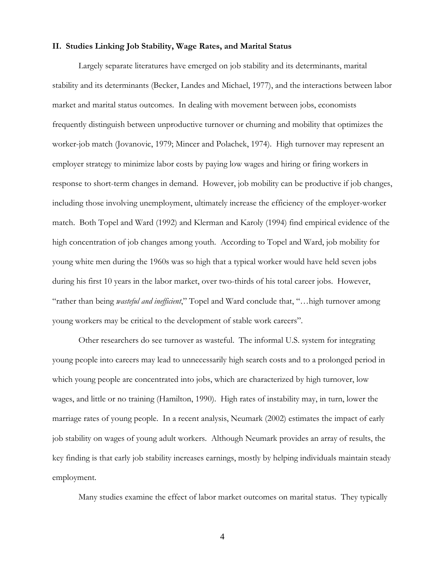### **II. Studies Linking Job Stability, Wage Rates, and Marital Status**

Largely separate literatures have emerged on job stability and its determinants, marital stability and its determinants (Becker, Landes and Michael, 1977), and the interactions between labor market and marital status outcomes. In dealing with movement between jobs, economists frequently distinguish between unproductive turnover or churning and mobility that optimizes the worker-job match (Jovanovic, 1979; Mincer and Polachek, 1974). High turnover may represent an employer strategy to minimize labor costs by paying low wages and hiring or firing workers in response to short-term changes in demand. However, job mobility can be productive if job changes, including those involving unemployment, ultimately increase the efficiency of the employer-worker match. Both Topel and Ward (1992) and Klerman and Karoly (1994) find empirical evidence of the high concentration of job changes among youth. According to Topel and Ward, job mobility for young white men during the 1960s was so high that a typical worker would have held seven jobs during his first 10 years in the labor market, over two-thirds of his total career jobs. However, "rather than being *wasteful and inefficient*," Topel and Ward conclude that, "…high turnover among young workers may be critical to the development of stable work careers".

Other researchers do see turnover as wasteful. The informal U.S. system for integrating young people into careers may lead to unnecessarily high search costs and to a prolonged period in which young people are concentrated into jobs, which are characterized by high turnover, low wages, and little or no training (Hamilton, 1990). High rates of instability may, in turn, lower the marriage rates of young people. In a recent analysis, Neumark (2002) estimates the impact of early job stability on wages of young adult workers. Although Neumark provides an array of results, the key finding is that early job stability increases earnings, mostly by helping individuals maintain steady employment.

Many studies examine the effect of labor market outcomes on marital status. They typically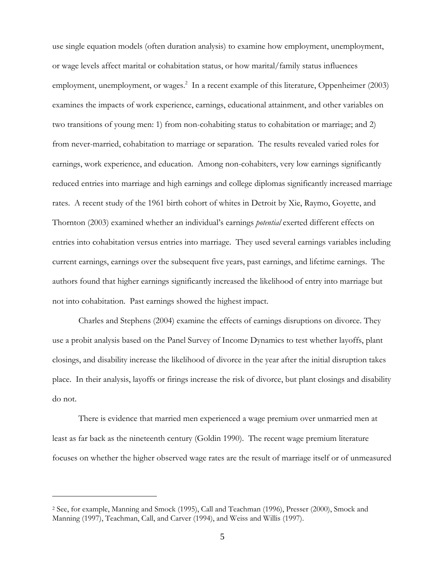use single equation models (often duration analysis) to examine how employment, unemployment, or wage levels affect marital or cohabitation status, or how marital/family status influences employment, unemployment, or wages.<sup>2</sup> In a recent example of this literature, Oppenheimer (2003) examines the impacts of work experience, earnings, educational attainment, and other variables on two transitions of young men: 1) from non-cohabiting status to cohabitation or marriage; and 2) from never-married, cohabitation to marriage or separation. The results revealed varied roles for earnings, work experience, and education. Among non-cohabiters, very low earnings significantly reduced entries into marriage and high earnings and college diplomas significantly increased marriage rates. A recent study of the 1961 birth cohort of whites in Detroit by Xie, Raymo, Goyette, and Thornton (2003) examined whether an individual's earnings *potential* exerted different effects on entries into cohabitation versus entries into marriage. They used several earnings variables including current earnings, earnings over the subsequent five years, past earnings, and lifetime earnings. The authors found that higher earnings significantly increased the likelihood of entry into marriage but not into cohabitation. Past earnings showed the highest impact.

Charles and Stephens (2004) examine the effects of earnings disruptions on divorce. They use a probit analysis based on the Panel Survey of Income Dynamics to test whether layoffs, plant closings, and disability increase the likelihood of divorce in the year after the initial disruption takes place. In their analysis, layoffs or firings increase the risk of divorce, but plant closings and disability do not.

There is evidence that married men experienced a wage premium over unmarried men at least as far back as the nineteenth century (Goldin 1990). The recent wage premium literature focuses on whether the higher observed wage rates are the result of marriage itself or of unmeasured

<sup>2</sup> See, for example, Manning and Smock (1995), Call and Teachman (1996), Presser (2000), Smock and Manning (1997), Teachman, Call, and Carver (1994), and Weiss and Willis (1997).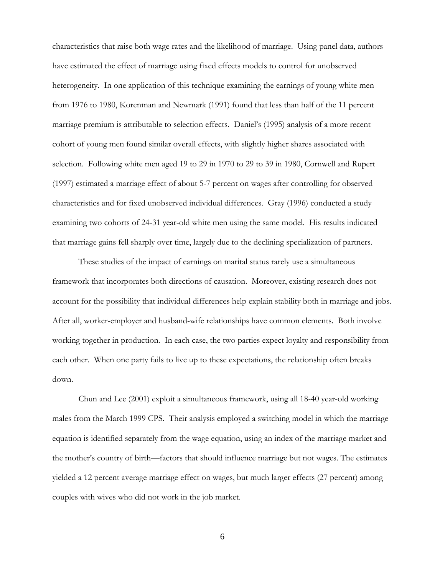characteristics that raise both wage rates and the likelihood of marriage. Using panel data, authors have estimated the effect of marriage using fixed effects models to control for unobserved heterogeneity. In one application of this technique examining the earnings of young white men from 1976 to 1980, Korenman and Newmark (1991) found that less than half of the 11 percent marriage premium is attributable to selection effects. Daniel's (1995) analysis of a more recent cohort of young men found similar overall effects, with slightly higher shares associated with selection. Following white men aged 19 to 29 in 1970 to 29 to 39 in 1980, Cornwell and Rupert (1997) estimated a marriage effect of about 5-7 percent on wages after controlling for observed characteristics and for fixed unobserved individual differences. Gray (1996) conducted a study examining two cohorts of 24-31 year-old white men using the same model. His results indicated that marriage gains fell sharply over time, largely due to the declining specialization of partners.

These studies of the impact of earnings on marital status rarely use a simultaneous framework that incorporates both directions of causation. Moreover, existing research does not account for the possibility that individual differences help explain stability both in marriage and jobs. After all, worker-employer and husband-wife relationships have common elements. Both involve working together in production. In each case, the two parties expect loyalty and responsibility from each other. When one party fails to live up to these expectations, the relationship often breaks down.

Chun and Lee (2001) exploit a simultaneous framework, using all 18-40 year-old working males from the March 1999 CPS. Their analysis employed a switching model in which the marriage equation is identified separately from the wage equation, using an index of the marriage market and the mother's country of birth—factors that should influence marriage but not wages. The estimates yielded a 12 percent average marriage effect on wages, but much larger effects (27 percent) among couples with wives who did not work in the job market.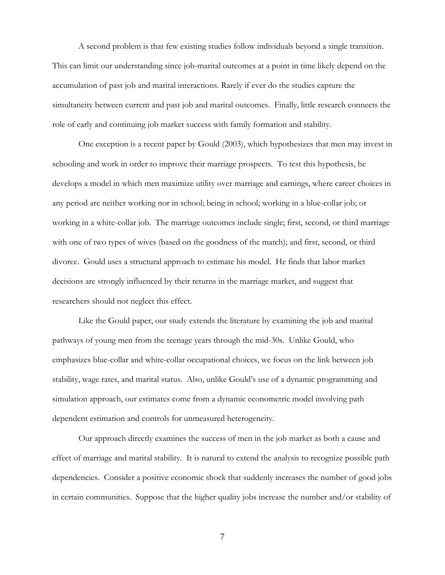A second problem is that few existing studies follow individuals beyond a single transition. This can limit our understanding since job-marital outcomes at a point in time likely depend on the accumulation of past job and marital interactions. Rarely if ever do the studies capture the simultaneity between current and past job and marital outcomes. Finally, little research connects the role of early and continuing job market success with family formation and stability.

One exception is a recent paper by Gould (2003), which hypothesizes that men may invest in schooling and work in order to improve their marriage prospects. To test this hypothesis, he develops a model in which men maximize utility over marriage and earnings, where career choices in any period are neither working nor in school; being in school; working in a blue-collar job; or working in a white-collar job. The marriage outcomes include single; first, second, or third marriage with one of two types of wives (based on the goodness of the match); and first, second, or third divorce. Gould uses a structural approach to estimate his model. He finds that labor market decisions are strongly influenced by their returns in the marriage market, and suggest that researchers should not neglect this effect.

Like the Gould paper, our study extends the literature by examining the job and marital pathways of young men from the teenage years through the mid-30s. Unlike Gould, who emphasizes blue-collar and white-collar occupational choices, we focus on the link between job stability, wage rates, and marital status. Also, unlike Gould's use of a dynamic programming and simulation approach, our estimates come from a dynamic econometric model involving path dependent estimation and controls for unmeasured heterogeneity.

Our approach directly examines the success of men in the job market as both a cause and effect of marriage and marital stability. It is natural to extend the analysis to recognize possible path dependencies. Consider a positive economic shock that suddenly increases the number of good jobs in certain communities. Suppose that the higher quality jobs increase the number and/or stability of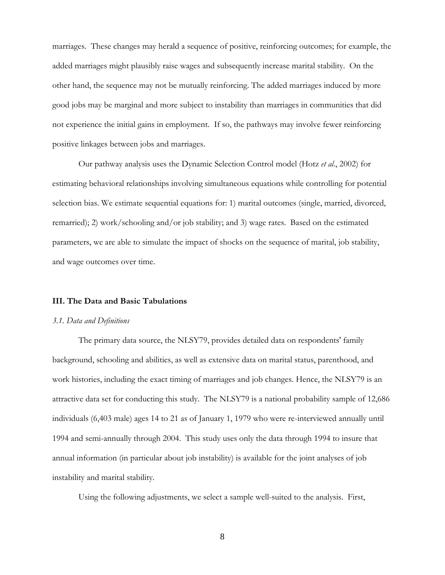marriages. These changes may herald a sequence of positive, reinforcing outcomes; for example, the added marriages might plausibly raise wages and subsequently increase marital stability. On the other hand, the sequence may not be mutually reinforcing. The added marriages induced by more good jobs may be marginal and more subject to instability than marriages in communities that did not experience the initial gains in employment. If so, the pathways may involve fewer reinforcing positive linkages between jobs and marriages.

Our pathway analysis uses the Dynamic Selection Control model (Hotz *et al*., 2002) for estimating behavioral relationships involving simultaneous equations while controlling for potential selection bias. We estimate sequential equations for: 1) marital outcomes (single, married, divorced, remarried); 2) work/schooling and/or job stability; and 3) wage rates. Based on the estimated parameters, we are able to simulate the impact of shocks on the sequence of marital, job stability, and wage outcomes over time.

#### **III. The Data and Basic Tabulations**

#### *3.1. Data and Definitions*

The primary data source, the NLSY79, provides detailed data on respondents' family background, schooling and abilities, as well as extensive data on marital status, parenthood, and work histories, including the exact timing of marriages and job changes. Hence, the NLSY79 is an attractive data set for conducting this study. The NLSY79 is a national probability sample of 12,686 individuals (6,403 male) ages 14 to 21 as of January 1, 1979 who were re-interviewed annually until 1994 and semi-annually through 2004. This study uses only the data through 1994 to insure that annual information (in particular about job instability) is available for the joint analyses of job instability and marital stability.

Using the following adjustments, we select a sample well-suited to the analysis. First,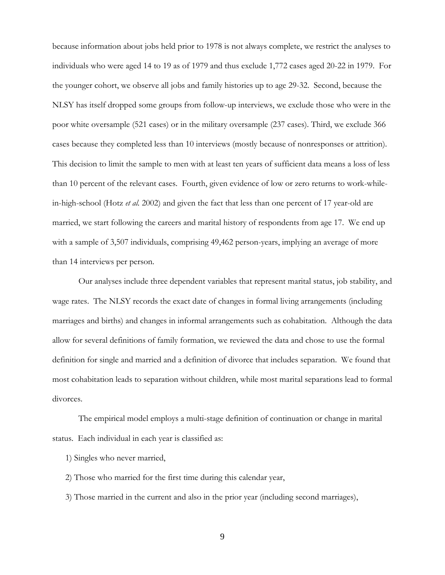because information about jobs held prior to 1978 is not always complete, we restrict the analyses to individuals who were aged 14 to 19 as of 1979 and thus exclude 1,772 cases aged 20-22 in 1979. For the younger cohort, we observe all jobs and family histories up to age 29-32. Second, because the NLSY has itself dropped some groups from follow-up interviews, we exclude those who were in the poor white oversample (521 cases) or in the military oversample (237 cases). Third, we exclude 366 cases because they completed less than 10 interviews (mostly because of nonresponses or attrition). This decision to limit the sample to men with at least ten years of sufficient data means a loss of less than 10 percent of the relevant cases. Fourth, given evidence of low or zero returns to work-whilein-high-school (Hotz *et al.* 2002) and given the fact that less than one percent of 17 year-old are married, we start following the careers and marital history of respondents from age 17. We end up with a sample of 3,507 individuals, comprising 49,462 person-years, implying an average of more than 14 interviews per person.

Our analyses include three dependent variables that represent marital status, job stability, and wage rates. The NLSY records the exact date of changes in formal living arrangements (including marriages and births) and changes in informal arrangements such as cohabitation. Although the data allow for several definitions of family formation, we reviewed the data and chose to use the formal definition for single and married and a definition of divorce that includes separation. We found that most cohabitation leads to separation without children, while most marital separations lead to formal divorces.

The empirical model employs a multi-stage definition of continuation or change in marital status. Each individual in each year is classified as:

- 1) Singles who never married,
- 2) Those who married for the first time during this calendar year,
- 3) Those married in the current and also in the prior year (including second marriages),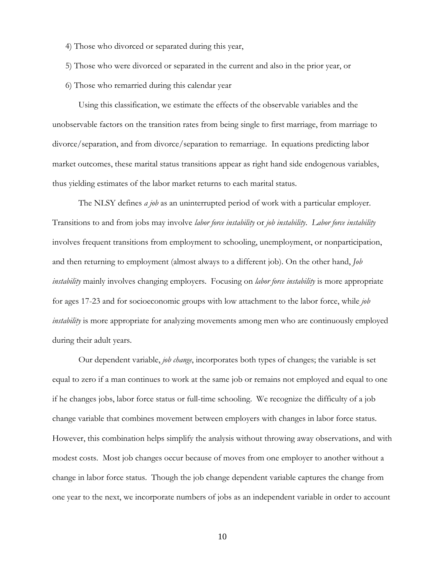- 4) Those who divorced or separated during this year,
- 5) Those who were divorced or separated in the current and also in the prior year, or
- 6) Those who remarried during this calendar year

Using this classification, we estimate the effects of the observable variables and the unobservable factors on the transition rates from being single to first marriage, from marriage to divorce/separation, and from divorce/separation to remarriage. In equations predicting labor market outcomes, these marital status transitions appear as right hand side endogenous variables, thus yielding estimates of the labor market returns to each marital status.

The NLSY defines *a job* as an uninterrupted period of work with a particular employer. Transitions to and from jobs may involve *labor force instability* or *job instability*. *Labor force instability* involves frequent transitions from employment to schooling, unemployment, or nonparticipation, and then returning to employment (almost always to a different job). On the other hand, *Job instability* mainly involves changing employers. Focusing on *labor force instability* is more appropriate for ages 17-23 and for socioeconomic groups with low attachment to the labor force, while *job instability* is more appropriate for analyzing movements among men who are continuously employed during their adult years.

Our dependent variable, *job change*, incorporates both types of changes; the variable is set equal to zero if a man continues to work at the same job or remains not employed and equal to one if he changes jobs, labor force status or full-time schooling. We recognize the difficulty of a job change variable that combines movement between employers with changes in labor force status. However, this combination helps simplify the analysis without throwing away observations, and with modest costs. Most job changes occur because of moves from one employer to another without a change in labor force status. Though the job change dependent variable captures the change from one year to the next, we incorporate numbers of jobs as an independent variable in order to account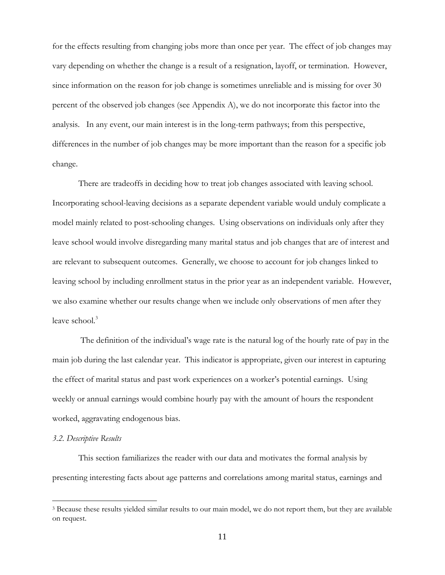for the effects resulting from changing jobs more than once per year. The effect of job changes may vary depending on whether the change is a result of a resignation, layoff, or termination. However, since information on the reason for job change is sometimes unreliable and is missing for over 30 percent of the observed job changes (see Appendix A), we do not incorporate this factor into the analysis. In any event, our main interest is in the long-term pathways; from this perspective, differences in the number of job changes may be more important than the reason for a specific job change.

There are tradeoffs in deciding how to treat job changes associated with leaving school. Incorporating school-leaving decisions as a separate dependent variable would unduly complicate a model mainly related to post-schooling changes. Using observations on individuals only after they leave school would involve disregarding many marital status and job changes that are of interest and are relevant to subsequent outcomes. Generally, we choose to account for job changes linked to leaving school by including enrollment status in the prior year as an independent variable. However, we also examine whether our results change when we include only observations of men after they leave school.<sup>3</sup>

 The definition of the individual's wage rate is the natural log of the hourly rate of pay in the main job during the last calendar year. This indicator is appropriate, given our interest in capturing the effect of marital status and past work experiences on a worker's potential earnings. Using weekly or annual earnings would combine hourly pay with the amount of hours the respondent worked, aggravating endogenous bias.

### *3.2. Descriptive Results*

 $\overline{a}$ 

 This section familiarizes the reader with our data and motivates the formal analysis by presenting interesting facts about age patterns and correlations among marital status, earnings and

<sup>3</sup> Because these results yielded similar results to our main model, we do not report them, but they are available on request.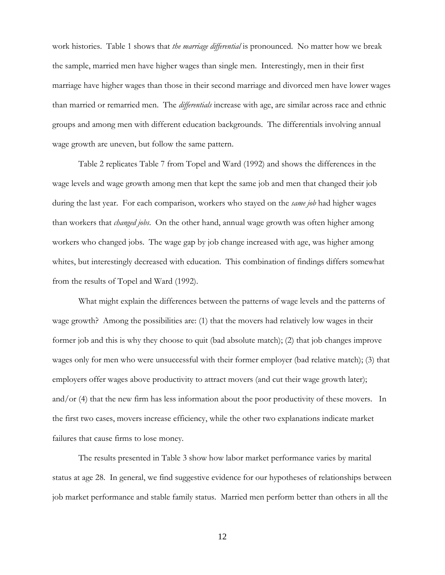work histories. Table 1 shows that *the marriage differential* is pronounced. No matter how we break the sample, married men have higher wages than single men. Interestingly, men in their first marriage have higher wages than those in their second marriage and divorced men have lower wages than married or remarried men. The *differentials* increase with age, are similar across race and ethnic groups and among men with different education backgrounds. The differentials involving annual wage growth are uneven, but follow the same pattern.

 Table 2 replicates Table 7 from Topel and Ward (1992) and shows the differences in the wage levels and wage growth among men that kept the same job and men that changed their job during the last year. For each comparison, workers who stayed on the *same job* had higher wages than workers that *changed jobs*. On the other hand, annual wage growth was often higher among workers who changed jobs. The wage gap by job change increased with age, was higher among whites, but interestingly decreased with education. This combination of findings differs somewhat from the results of Topel and Ward (1992).

What might explain the differences between the patterns of wage levels and the patterns of wage growth? Among the possibilities are: (1) that the movers had relatively low wages in their former job and this is why they choose to quit (bad absolute match); (2) that job changes improve wages only for men who were unsuccessful with their former employer (bad relative match); (3) that employers offer wages above productivity to attract movers (and cut their wage growth later); and/or (4) that the new firm has less information about the poor productivity of these movers. In the first two cases, movers increase efficiency, while the other two explanations indicate market failures that cause firms to lose money.

The results presented in Table 3 show how labor market performance varies by marital status at age 28. In general, we find suggestive evidence for our hypotheses of relationships between job market performance and stable family status. Married men perform better than others in all the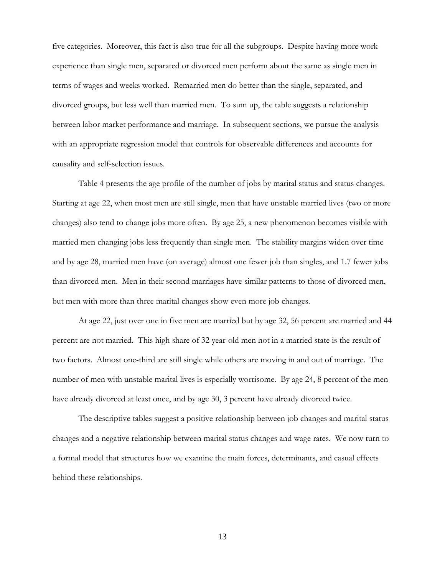five categories. Moreover, this fact is also true for all the subgroups. Despite having more work experience than single men, separated or divorced men perform about the same as single men in terms of wages and weeks worked. Remarried men do better than the single, separated, and divorced groups, but less well than married men. To sum up, the table suggests a relationship between labor market performance and marriage. In subsequent sections, we pursue the analysis with an appropriate regression model that controls for observable differences and accounts for causality and self-selection issues.

Table 4 presents the age profile of the number of jobs by marital status and status changes. Starting at age 22, when most men are still single, men that have unstable married lives (two or more changes) also tend to change jobs more often. By age 25, a new phenomenon becomes visible with married men changing jobs less frequently than single men. The stability margins widen over time and by age 28, married men have (on average) almost one fewer job than singles, and 1.7 fewer jobs than divorced men. Men in their second marriages have similar patterns to those of divorced men, but men with more than three marital changes show even more job changes.

At age 22, just over one in five men are married but by age 32, 56 percent are married and 44 percent are not married. This high share of 32 year-old men not in a married state is the result of two factors. Almost one-third are still single while others are moving in and out of marriage. The number of men with unstable marital lives is especially worrisome. By age 24, 8 percent of the men have already divorced at least once, and by age 30, 3 percent have already divorced twice.

The descriptive tables suggest a positive relationship between job changes and marital status changes and a negative relationship between marital status changes and wage rates. We now turn to a formal model that structures how we examine the main forces, determinants, and casual effects behind these relationships.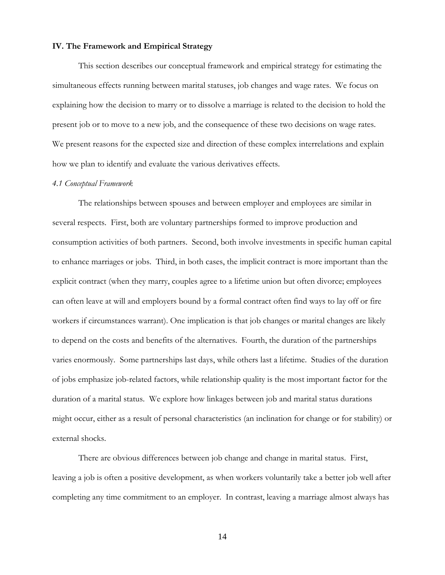### **IV. The Framework and Empirical Strategy**

This section describes our conceptual framework and empirical strategy for estimating the simultaneous effects running between marital statuses, job changes and wage rates. We focus on explaining how the decision to marry or to dissolve a marriage is related to the decision to hold the present job or to move to a new job, and the consequence of these two decisions on wage rates. We present reasons for the expected size and direction of these complex interrelations and explain how we plan to identify and evaluate the various derivatives effects.

### *4.1 Conceptual Framework*

The relationships between spouses and between employer and employees are similar in several respects. First, both are voluntary partnerships formed to improve production and consumption activities of both partners. Second, both involve investments in specific human capital to enhance marriages or jobs. Third, in both cases, the implicit contract is more important than the explicit contract (when they marry, couples agree to a lifetime union but often divorce; employees can often leave at will and employers bound by a formal contract often find ways to lay off or fire workers if circumstances warrant). One implication is that job changes or marital changes are likely to depend on the costs and benefits of the alternatives. Fourth, the duration of the partnerships varies enormously. Some partnerships last days, while others last a lifetime. Studies of the duration of jobs emphasize job-related factors, while relationship quality is the most important factor for the duration of a marital status. We explore how linkages between job and marital status durations might occur, either as a result of personal characteristics (an inclination for change or for stability) or external shocks.

There are obvious differences between job change and change in marital status. First, leaving a job is often a positive development, as when workers voluntarily take a better job well after completing any time commitment to an employer. In contrast, leaving a marriage almost always has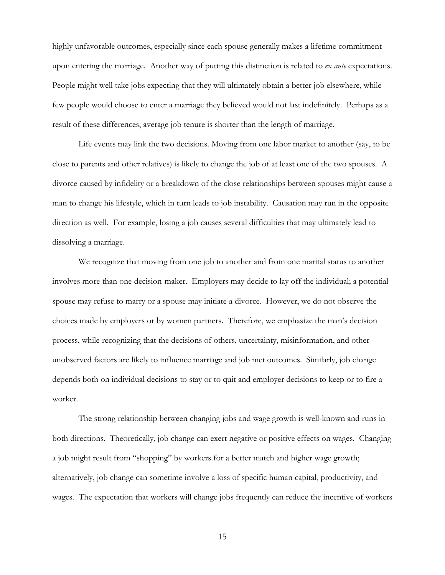highly unfavorable outcomes, especially since each spouse generally makes a lifetime commitment upon entering the marriage. Another way of putting this distinction is related to *ex ante* expectations. People might well take jobs expecting that they will ultimately obtain a better job elsewhere, while few people would choose to enter a marriage they believed would not last indefinitely. Perhaps as a result of these differences, average job tenure is shorter than the length of marriage.

Life events may link the two decisions. Moving from one labor market to another (say, to be close to parents and other relatives) is likely to change the job of at least one of the two spouses. A divorce caused by infidelity or a breakdown of the close relationships between spouses might cause a man to change his lifestyle, which in turn leads to job instability. Causation may run in the opposite direction as well. For example, losing a job causes several difficulties that may ultimately lead to dissolving a marriage.

We recognize that moving from one job to another and from one marital status to another involves more than one decision-maker. Employers may decide to lay off the individual; a potential spouse may refuse to marry or a spouse may initiate a divorce. However, we do not observe the choices made by employers or by women partners. Therefore, we emphasize the man's decision process, while recognizing that the decisions of others, uncertainty, misinformation, and other unobserved factors are likely to influence marriage and job met outcomes. Similarly, job change depends both on individual decisions to stay or to quit and employer decisions to keep or to fire a worker.

 The strong relationship between changing jobs and wage growth is well-known and runs in both directions. Theoretically, job change can exert negative or positive effects on wages. Changing a job might result from "shopping" by workers for a better match and higher wage growth; alternatively, job change can sometime involve a loss of specific human capital, productivity, and wages. The expectation that workers will change jobs frequently can reduce the incentive of workers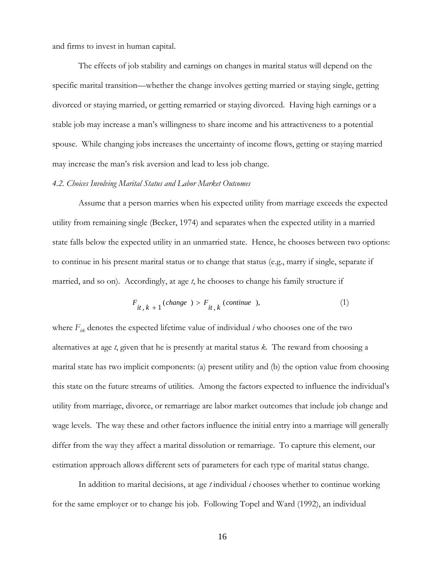and firms to invest in human capital.

The effects of job stability and earnings on changes in marital status will depend on the specific marital transition—whether the change involves getting married or staying single, getting divorced or staying married, or getting remarried or staying divorced. Having high earnings or a stable job may increase a man's willingness to share income and his attractiveness to a potential spouse. While changing jobs increases the uncertainty of income flows, getting or staying married may increase the man's risk aversion and lead to less job change.

#### *4.2. Choices Involving Marital Status and Labor Market Outcomes*

Assume that a person marries when his expected utility from marriage exceeds the expected utility from remaining single (Becker, 1974) and separates when the expected utility in a married state falls below the expected utility in an unmarried state. Hence, he chooses between two options: to continue in his present marital status or to change that status (e.g., marry if single, separate if married, and so on). Accordingly, at age *t*, he chooses to change his family structure if

$$
F_{it, k+1}(change) > F_{it, k}(continue), \qquad (1)
$$

where  $F_{ik}$  denotes the expected lifetime value of individual  $i$  who chooses one of the two alternatives at age *t*, given that he is presently at marital status *k*. The reward from choosing a marital state has two implicit components: (a) present utility and (b) the option value from choosing this state on the future streams of utilities. Among the factors expected to influence the individual's utility from marriage, divorce, or remarriage are labor market outcomes that include job change and wage levels. The way these and other factors influence the initial entry into a marriage will generally differ from the way they affect a marital dissolution or remarriage. To capture this element, our estimation approach allows different sets of parameters for each type of marital status change.

In addition to marital decisions, at age *t* individual *i* chooses whether to continue working for the same employer or to change his job. Following Topel and Ward (1992), an individual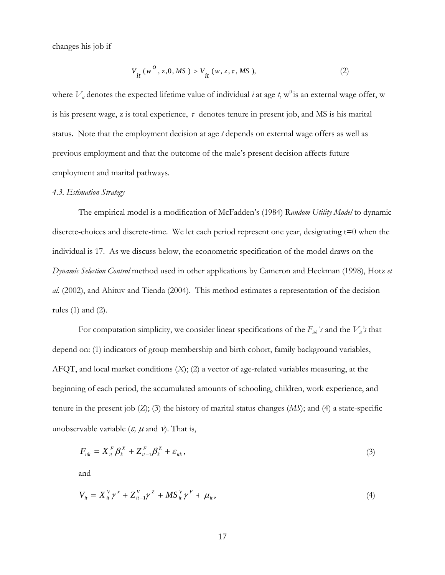changes his job if

$$
V_{it}(w^o, z, 0, MS) > V_{it}(w, z, \tau, MS), \qquad (2)
$$

where  $V_{it}$  denotes the expected lifetime value of individual  $i$  at age  $t$ ,  $\mathbf{w}^0$  is an external wage offer,  $\mathbf{w}$ is his present wage, z is total experience,  $\tau$  denotes tenure in present job, and MS is his marital status. Note that the employment decision at age *t* depends on external wage offers as well as previous employment and that the outcome of the male's present decision affects future employment and marital pathways.

### *4.3. Estimation Strategy*

The empirical model is a modification of McFadden's (1984) R*andom Utility Model* to dynamic discrete-choices and discrete-time. We let each period represent one year, designating t=0 when the individual is 17. As we discuss below, the econometric specification of the model draws on the *Dynamic Selection Control* method used in other applications by Cameron and Heckman (1998), Hotz *et al*. (2002), and Ahituv and Tienda (2004). This method estimates a representation of the decision rules (1) and (2).

For computation simplicity, we consider linear specifications of the  $F_{ik}$ 's and the  $V_i$ 's that depend on: (1) indicators of group membership and birth cohort, family background variables, AFQT, and local market conditions (*X*); (2) a vector of age-related variables measuring, at the beginning of each period, the accumulated amounts of schooling, children, work experience, and tenure in the present job (*Z*); (3) the history of marital status changes (*MS*); and (4) a state-specific unobservable variable  $(\varepsilon, \mu \text{ and } \nu)$ . That is,

$$
F_{ik} = X_{it}^F \beta_k^X + Z_{it-1}^F \beta_k^Z + \varepsilon_{itk}, \qquad (3)
$$

and

$$
V_{it} = X_{it}^V \gamma^x + Z_{it-1}^V \gamma^Z + MS_{it}^V \gamma^F + \mu_{it},
$$
\n(4)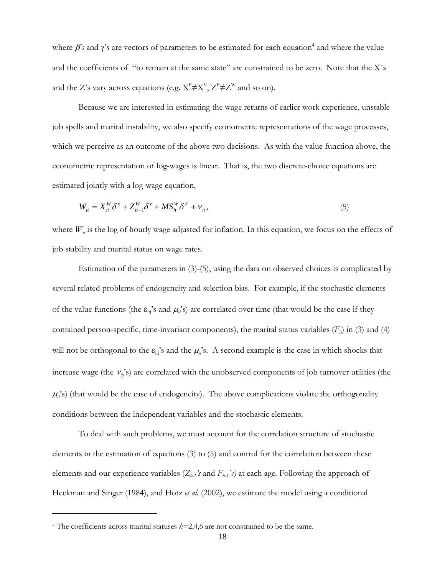where  $\beta$ 's and  $\gamma$ 's are vectors of parameters to be estimated for each equation<sup>4</sup> and where the value and the coefficients of "to remain at the same state" are constrained to be zero. Note that the X`s and the Z's vary across equations (e.g.  $X^F \neq X^V$ ,  $Z^F \neq Z^W$  and so on).

Because we are interested in estimating the wage returns of earlier work experience, unstable job spells and marital instability, we also specify econometric representations of the wage processes, which we perceive as an outcome of the above two decisions. As with the value function above, the econometric representation of log-wages is linear. That is, the two discrete-choice equations are estimated jointly with a log-wage equation,

$$
W_{it} = X_{it}^W \delta^x + Z_{it-1}^W \delta^z + MS_{it}^W \delta^F + \nu_{it}, \qquad (5)
$$

where  $W_{ii}$  is the log of hourly wage adjusted for inflation. In this equation, we focus on the effects of job stability and marital status on wage rates.

Estimation of the parameters in  $(3)-(5)$ , using the data on observed choices is complicated by several related problems of endogeneity and selection bias. For example, if the stochastic elements of the value functions (the  $\varepsilon_{ii}$ 's and  $\mu_i$ 's) are correlated over time (that would be the case if they contained person-specific, time-invariant components), the marital status variables  $(F_i)$  in (3) and (4) will not be orthogonal to the  $\varepsilon_{ii}$ 's and the  $\mu_i$ 's. A second example is the case in which shocks that increase wage (the  $V_{ii}$ 's) are correlated with the unobserved components of job turnover utilities (the  $\mu_i$ 's) (that would be the case of endogeneity). The above complications violate the orthogonality conditions between the independent variables and the stochastic elements.

To deal with such problems, we must account for the correlation structure of stochastic elements in the estimation of equations (3) to (5) and control for the correlation between these elements and our experience variables  $(Z_{i\!i}, 's)$  and  $F_{i\!i}, 's)$  at each age. Following the approach of Heckman and Singer (1984), and Hotz *et al.* (2002), we estimate the model using a conditional

 $\overline{a}$ 

<sup>4</sup> The coefficients across marital statuses *k*=2,4,6 are not constrained to be the same.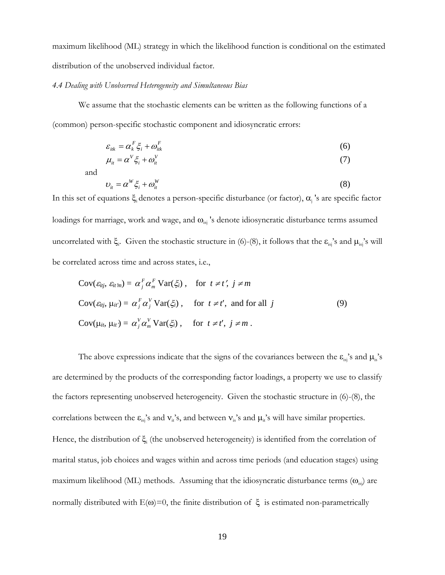maximum likelihood (ML) strategy in which the likelihood function is conditional on the estimated distribution of the unobserved individual factor.

#### *4.4 Dealing with Unobserved Heterogeneity and Simultaneous Bias*

We assume that the stochastic elements can be written as the following functions of a (common) person-specific stochastic component and idiosyncratic errors:

$$
\varepsilon_{ik} = \alpha_k^F \xi_i + \omega_{ik}^F \tag{6}
$$

$$
\mu_{it} = \alpha^V \xi_i + \omega_{it}^V \tag{7}
$$

and

$$
U_{it} = \alpha^W \xi_i + \omega_{it}^W
$$
 (8)

In this set of equations  $\xi$ <sub>i</sub> denotes a person-specific disturbance (or factor),  $\alpha$ <sub>j</sub>'s are specific factor loadings for marriage, work and wage, and  $\omega_{\rm{is}}$  's denote idiosyncratic disturbance terms assumed uncorrelated with  $\xi_i$ . Given the stochastic structure in (6)-(8), it follows that the  $\varepsilon_{is}$ 's and  $\mu_{is}$ 's will be correlated across time and across states, i.e.,

$$
Cov(\varepsilon_{itj}, \varepsilon_{itm}) = \alpha_j^F \alpha_m^F Var(\xi_i), \quad \text{for } t \neq t', j \neq m
$$
  
\n
$$
Cov(\varepsilon_{itj}, \mu_{it'}) = \alpha_j^F \alpha_j^V Var(\xi_i), \quad \text{for } t \neq t', \text{ and for all } j
$$
  
\n
$$
Cov(\mu_{it}, \mu_{it'}) = \alpha_j^V \alpha_m^V Var(\xi_i), \quad \text{for } t \neq t', j \neq m.
$$
 (9)

The above expressions indicate that the signs of the covariances between the  $\varepsilon_{isj}$ 's and  $\mu_{is}$ 's are determined by the products of the corresponding factor loadings, a property we use to classify the factors representing unobserved heterogeneity. Given the stochastic structure in (6)-(8), the correlations between the  $\varepsilon_{isj}$ 's and  $v_{it}$ 's, and between  $v_{is}$ 's and  $\mu_{it}$ 's will have similar properties. Hence, the distribution of ξ<sub>i</sub> (the unobserved heterogeneity) is identified from the correlation of marital status, job choices and wages within and across time periods (and education stages) using maximum likelihood (ML) methods. Assuming that the idiosyncratic disturbance terms  $(\omega_{is})$  are normally distributed with  $E(ω)=0$ , the finite distribution of  $ξ$  is estimated non-parametrically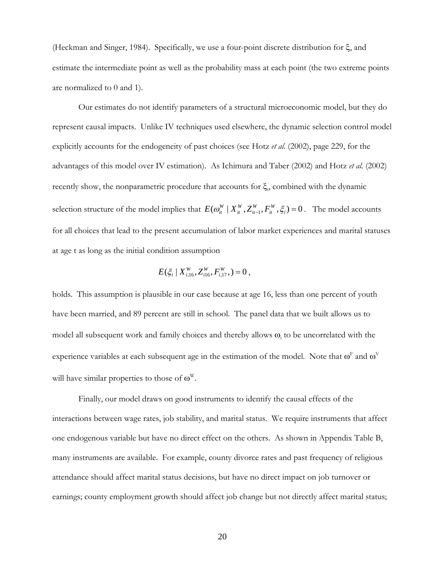(Heckman and Singer, 1984). Specifically, we use a four-point discrete distribution for ξ, and estimate the intermediate point as well as the probability mass at each point (the two extreme points are normalized to 0 and 1).

Our estimates do not identify parameters of a structural microeconomic model, but they do represent causal impacts. Unlike IV techniques used elsewhere, the dynamic selection control model explicitly accounts for the endogeneity of past choices (see Hotz *et al.* (2002), page 229, for the advantages of this model over IV estimation). As Ichimura and Taber (2002) and Hotz *et al.* (2002) recently show, the nonparametric procedure that accounts for  $\xi$ <sub>i</sub>, combined with the dynamic selection structure of the model implies that  $E(\omega_{it}^W | X_{it}^W, Z_{it-1}^W, F_{it}^W, \xi_i) = 0$ *W it W*  $E(\omega_{it}^W | X_{it}^W, Z_{it-1}^W, F_{it}^W, \xi_i) = 0$ . The model accounts for all choices that lead to the present accumulation of labor market experiences and marital statuses at age t as long as the initial condition assumption

$$
E(\xi_i \mid X_{i,16}^W, Z_{i16}^W, F_{i,17}^W, ) = 0,
$$

holds. This assumption is plausible in our case because at age 16, less than one percent of youth have been married, and 89 percent are still in school. The panel data that we built allows us to model all subsequent work and family choices and thereby allows  $\omega_i$  to be uncorrelated with the experience variables at each subsequent age in the estimation of the model. Note that  $\omega^{\text{F}}$  and  $\omega^{\text{V}}$ will have similar properties to those of  $\omega^w$ .

 Finally, our model draws on good instruments to identify the causal effects of the interactions between wage rates, job stability, and marital status. We require instruments that affect one endogenous variable but have no direct effect on the others. As shown in Appendix Table B, many instruments are available. For example, county divorce rates and past frequency of religious attendance should affect marital status decisions, but have no direct impact on job turnover or earnings; county employment growth should affect job change but not directly affect marital status;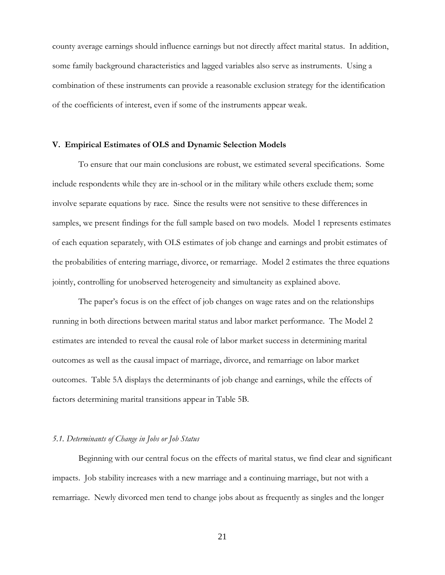county average earnings should influence earnings but not directly affect marital status. In addition, some family background characteristics and lagged variables also serve as instruments. Using a combination of these instruments can provide a reasonable exclusion strategy for the identification of the coefficients of interest, even if some of the instruments appear weak.

### **V. Empirical Estimates of OLS and Dynamic Selection Models**

To ensure that our main conclusions are robust, we estimated several specifications. Some include respondents while they are in-school or in the military while others exclude them; some involve separate equations by race. Since the results were not sensitive to these differences in samples, we present findings for the full sample based on two models. Model 1 represents estimates of each equation separately, with OLS estimates of job change and earnings and probit estimates of the probabilities of entering marriage, divorce, or remarriage. Model 2 estimates the three equations jointly, controlling for unobserved heterogeneity and simultaneity as explained above.

The paper's focus is on the effect of job changes on wage rates and on the relationships running in both directions between marital status and labor market performance. The Model 2 estimates are intended to reveal the causal role of labor market success in determining marital outcomes as well as the causal impact of marriage, divorce, and remarriage on labor market outcomes. Table 5A displays the determinants of job change and earnings, while the effects of factors determining marital transitions appear in Table 5B.

### *5.1. Determinants of Change in Jobs or Job Status*

Beginning with our central focus on the effects of marital status, we find clear and significant impacts. Job stability increases with a new marriage and a continuing marriage, but not with a remarriage. Newly divorced men tend to change jobs about as frequently as singles and the longer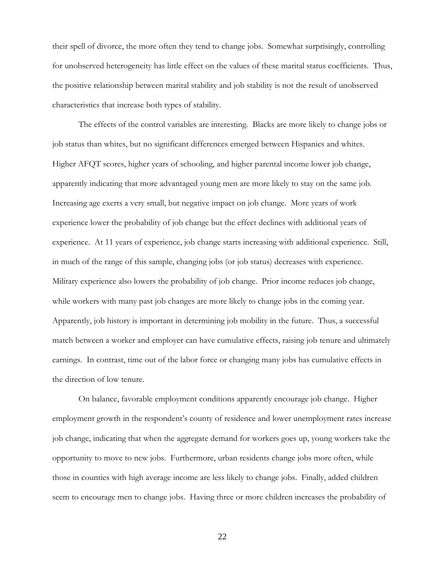their spell of divorce, the more often they tend to change jobs. Somewhat surprisingly, controlling for unobserved heterogeneity has little effect on the values of these marital status coefficients. Thus, the positive relationship between marital stability and job stability is not the result of unobserved characteristics that increase both types of stability.

The effects of the control variables are interesting. Blacks are more likely to change jobs or job status than whites, but no significant differences emerged between Hispanics and whites. Higher AFQT scores, higher years of schooling, and higher parental income lower job change, apparently indicating that more advantaged young men are more likely to stay on the same job. Increasing age exerts a very small, but negative impact on job change. More years of work experience lower the probability of job change but the effect declines with additional years of experience. At 11 years of experience, job change starts increasing with additional experience. Still, in much of the range of this sample, changing jobs (or job status) decreases with experience. Military experience also lowers the probability of job change. Prior income reduces job change, while workers with many past job changes are more likely to change jobs in the coming year. Apparently, job history is important in determining job mobility in the future. Thus, a successful match between a worker and employer can have cumulative effects, raising job tenure and ultimately earnings. In contrast, time out of the labor force or changing many jobs has cumulative effects in the direction of low tenure.

On balance, favorable employment conditions apparently encourage job change. Higher employment growth in the respondent's county of residence and lower unemployment rates increase job change, indicating that when the aggregate demand for workers goes up, young workers take the opportunity to move to new jobs. Furthermore, urban residents change jobs more often, while those in counties with high average income are less likely to change jobs. Finally, added children seem to encourage men to change jobs. Having three or more children increases the probability of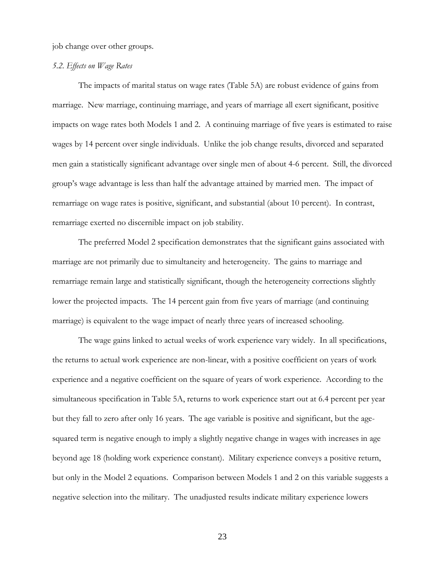job change over other groups.

### *5.2. Effects on Wage Rates*

The impacts of marital status on wage rates (Table 5A) are robust evidence of gains from marriage. New marriage, continuing marriage, and years of marriage all exert significant, positive impacts on wage rates both Models 1 and 2. A continuing marriage of five years is estimated to raise wages by 14 percent over single individuals. Unlike the job change results, divorced and separated men gain a statistically significant advantage over single men of about 4-6 percent. Still, the divorced group's wage advantage is less than half the advantage attained by married men. The impact of remarriage on wage rates is positive, significant, and substantial (about 10 percent). In contrast, remarriage exerted no discernible impact on job stability.

The preferred Model 2 specification demonstrates that the significant gains associated with marriage are not primarily due to simultaneity and heterogeneity. The gains to marriage and remarriage remain large and statistically significant, though the heterogeneity corrections slightly lower the projected impacts. The 14 percent gain from five years of marriage (and continuing marriage) is equivalent to the wage impact of nearly three years of increased schooling.

The wage gains linked to actual weeks of work experience vary widely. In all specifications, the returns to actual work experience are non-linear, with a positive coefficient on years of work experience and a negative coefficient on the square of years of work experience. According to the simultaneous specification in Table 5A, returns to work experience start out at 6.4 percent per year but they fall to zero after only 16 years. The age variable is positive and significant, but the agesquared term is negative enough to imply a slightly negative change in wages with increases in age beyond age 18 (holding work experience constant). Military experience conveys a positive return, but only in the Model 2 equations. Comparison between Models 1 and 2 on this variable suggests a negative selection into the military. The unadjusted results indicate military experience lowers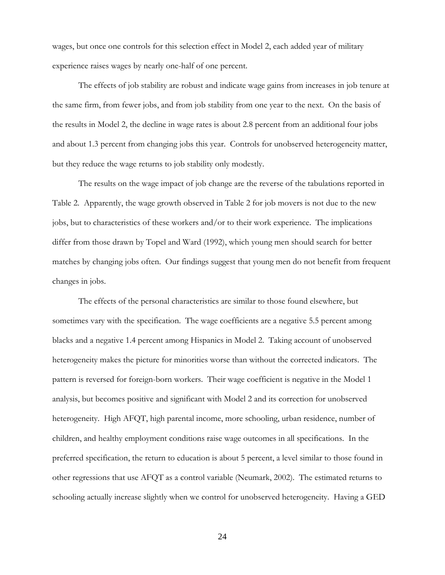wages, but once one controls for this selection effect in Model 2, each added year of military experience raises wages by nearly one-half of one percent.

The effects of job stability are robust and indicate wage gains from increases in job tenure at the same firm, from fewer jobs, and from job stability from one year to the next. On the basis of the results in Model 2, the decline in wage rates is about 2.8 percent from an additional four jobs and about 1.3 percent from changing jobs this year. Controls for unobserved heterogeneity matter, but they reduce the wage returns to job stability only modestly.

The results on the wage impact of job change are the reverse of the tabulations reported in Table 2. Apparently, the wage growth observed in Table 2 for job movers is not due to the new jobs, but to characteristics of these workers and/or to their work experience. The implications differ from those drawn by Topel and Ward (1992), which young men should search for better matches by changing jobs often. Our findings suggest that young men do not benefit from frequent changes in jobs.

The effects of the personal characteristics are similar to those found elsewhere, but sometimes vary with the specification. The wage coefficients are a negative 5.5 percent among blacks and a negative 1.4 percent among Hispanics in Model 2. Taking account of unobserved heterogeneity makes the picture for minorities worse than without the corrected indicators. The pattern is reversed for foreign-born workers. Their wage coefficient is negative in the Model 1 analysis, but becomes positive and significant with Model 2 and its correction for unobserved heterogeneity. High AFQT, high parental income, more schooling, urban residence, number of children, and healthy employment conditions raise wage outcomes in all specifications. In the preferred specification, the return to education is about 5 percent, a level similar to those found in other regressions that use AFQT as a control variable (Neumark, 2002). The estimated returns to schooling actually increase slightly when we control for unobserved heterogeneity. Having a GED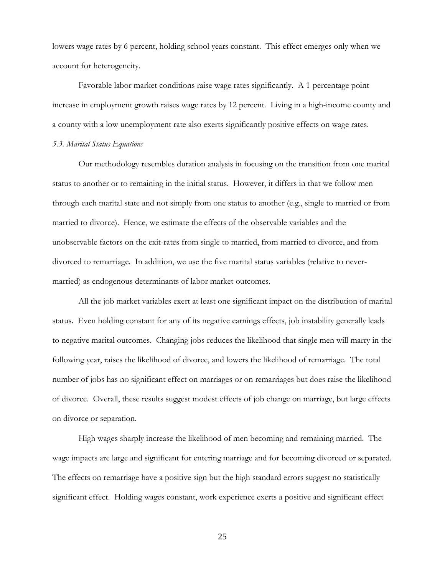lowers wage rates by 6 percent, holding school years constant. This effect emerges only when we account for heterogeneity.

Favorable labor market conditions raise wage rates significantly. A 1-percentage point increase in employment growth raises wage rates by 12 percent. Living in a high-income county and a county with a low unemployment rate also exerts significantly positive effects on wage rates.

### *5.3. Marital Status Equations*

Our methodology resembles duration analysis in focusing on the transition from one marital status to another or to remaining in the initial status. However, it differs in that we follow men through each marital state and not simply from one status to another (e.g., single to married or from married to divorce). Hence, we estimate the effects of the observable variables and the unobservable factors on the exit-rates from single to married, from married to divorce, and from divorced to remarriage. In addition, we use the five marital status variables (relative to nevermarried) as endogenous determinants of labor market outcomes.

All the job market variables exert at least one significant impact on the distribution of marital status. Even holding constant for any of its negative earnings effects, job instability generally leads to negative marital outcomes. Changing jobs reduces the likelihood that single men will marry in the following year, raises the likelihood of divorce, and lowers the likelihood of remarriage. The total number of jobs has no significant effect on marriages or on remarriages but does raise the likelihood of divorce. Overall, these results suggest modest effects of job change on marriage, but large effects on divorce or separation.

High wages sharply increase the likelihood of men becoming and remaining married. The wage impacts are large and significant for entering marriage and for becoming divorced or separated. The effects on remarriage have a positive sign but the high standard errors suggest no statistically significant effect. Holding wages constant, work experience exerts a positive and significant effect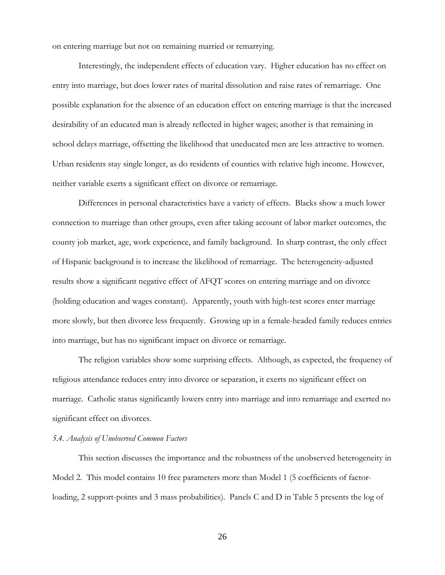on entering marriage but not on remaining married or remarrying.

Interestingly, the independent effects of education vary. Higher education has no effect on entry into marriage, but does lower rates of marital dissolution and raise rates of remarriage. One possible explanation for the absence of an education effect on entering marriage is that the increased desirability of an educated man is already reflected in higher wages; another is that remaining in school delays marriage, offsetting the likelihood that uneducated men are less attractive to women. Urban residents stay single longer, as do residents of counties with relative high income. However, neither variable exerts a significant effect on divorce or remarriage.

Differences in personal characteristics have a variety of effects. Blacks show a much lower connection to marriage than other groups, even after taking account of labor market outcomes, the county job market, age, work experience, and family background. In sharp contrast, the only effect of Hispanic background is to increase the likelihood of remarriage. The heterogeneity-adjusted results show a significant negative effect of AFQT scores on entering marriage and on divorce (holding education and wages constant). Apparently, youth with high-test scores enter marriage more slowly, but then divorce less frequently. Growing up in a female-headed family reduces entries into marriage, but has no significant impact on divorce or remarriage.

The religion variables show some surprising effects. Although, as expected, the frequency of religious attendance reduces entry into divorce or separation, it exerts no significant effect on marriage. Catholic status significantly lowers entry into marriage and into remarriage and exerted no significant effect on divorces.

### *5.4. Analysis of Unobserved Common Factors*

This section discusses the importance and the robustness of the unobserved heterogeneity in Model 2. This model contains 10 free parameters more than Model 1 (5 coefficients of factorloading, 2 support-points and 3 mass probabilities). Panels C and D in Table 5 presents the log of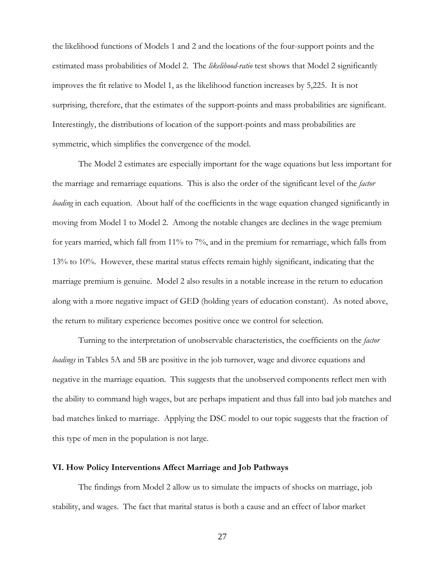the likelihood functions of Models 1 and 2 and the locations of the four-support points and the estimated mass probabilities of Model 2. The *likelihood-ratio* test shows that Model 2 significantly improves the fit relative to Model 1, as the likelihood function increases by 5,225. It is not surprising, therefore, that the estimates of the support-points and mass probabilities are significant. Interestingly, the distributions of location of the support-points and mass probabilities are symmetric, which simplifies the convergence of the model.

The Model 2 estimates are especially important for the wage equations but less important for the marriage and remarriage equations. This is also the order of the significant level of the *factor loading* in each equation. About half of the coefficients in the wage equation changed significantly in moving from Model 1 to Model 2. Among the notable changes are declines in the wage premium for years married, which fall from 11% to 7%, and in the premium for remarriage, which falls from 13% to 10%. However, these marital status effects remain highly significant, indicating that the marriage premium is genuine. Model 2 also results in a notable increase in the return to education along with a more negative impact of GED (holding years of education constant). As noted above, the return to military experience becomes positive once we control for selection.

Turning to the interpretation of unobservable characteristics, the coefficients on the *factor loadings* in Tables 5A and 5B are positive in the job turnover, wage and divorce equations and negative in the marriage equation. This suggests that the unobserved components reflect men with the ability to command high wages, but are perhaps impatient and thus fall into bad job matches and bad matches linked to marriage. Applying the DSC model to our topic suggests that the fraction of this type of men in the population is not large.

#### **VI. How Policy Interventions Affect Marriage and Job Pathways**

The findings from Model 2 allow us to simulate the impacts of shocks on marriage, job stability, and wages. The fact that marital status is both a cause and an effect of labor market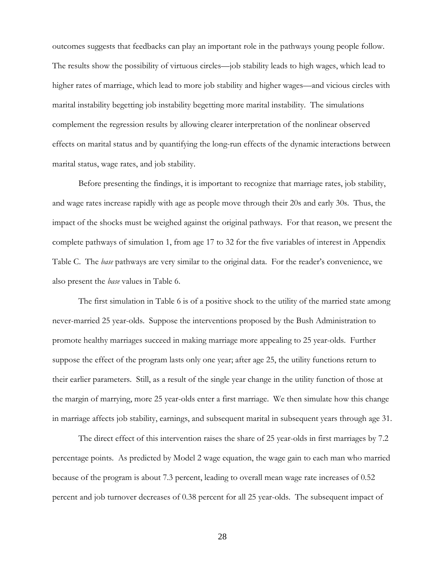outcomes suggests that feedbacks can play an important role in the pathways young people follow. The results show the possibility of virtuous circles—job stability leads to high wages, which lead to higher rates of marriage, which lead to more job stability and higher wages—and vicious circles with marital instability begetting job instability begetting more marital instability. The simulations complement the regression results by allowing clearer interpretation of the nonlinear observed effects on marital status and by quantifying the long-run effects of the dynamic interactions between marital status, wage rates, and job stability.

Before presenting the findings, it is important to recognize that marriage rates, job stability, and wage rates increase rapidly with age as people move through their 20s and early 30s. Thus, the impact of the shocks must be weighed against the original pathways. For that reason, we present the complete pathways of simulation 1, from age 17 to 32 for the five variables of interest in Appendix Table C. The *base* pathways are very similar to the original data. For the reader's convenience, we also present the *base* values in Table 6.

The first simulation in Table 6 is of a positive shock to the utility of the married state among never-married 25 year-olds. Suppose the interventions proposed by the Bush Administration to promote healthy marriages succeed in making marriage more appealing to 25 year-olds. Further suppose the effect of the program lasts only one year; after age 25, the utility functions return to their earlier parameters. Still, as a result of the single year change in the utility function of those at the margin of marrying, more 25 year-olds enter a first marriage. We then simulate how this change in marriage affects job stability, earnings, and subsequent marital in subsequent years through age 31.

The direct effect of this intervention raises the share of 25 year-olds in first marriages by 7.2 percentage points. As predicted by Model 2 wage equation, the wage gain to each man who married because of the program is about 7.3 percent, leading to overall mean wage rate increases of 0.52 percent and job turnover decreases of 0.38 percent for all 25 year-olds. The subsequent impact of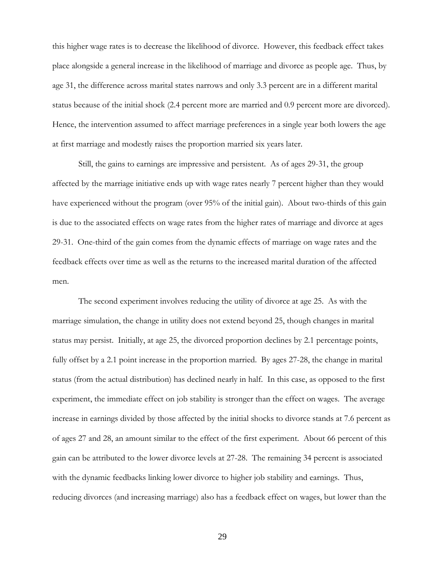this higher wage rates is to decrease the likelihood of divorce. However, this feedback effect takes place alongside a general increase in the likelihood of marriage and divorce as people age. Thus, by age 31, the difference across marital states narrows and only 3.3 percent are in a different marital status because of the initial shock (2.4 percent more are married and 0.9 percent more are divorced). Hence, the intervention assumed to affect marriage preferences in a single year both lowers the age at first marriage and modestly raises the proportion married six years later.

Still, the gains to earnings are impressive and persistent. As of ages 29-31, the group affected by the marriage initiative ends up with wage rates nearly 7 percent higher than they would have experienced without the program (over 95% of the initial gain). About two-thirds of this gain is due to the associated effects on wage rates from the higher rates of marriage and divorce at ages 29-31. One-third of the gain comes from the dynamic effects of marriage on wage rates and the feedback effects over time as well as the returns to the increased marital duration of the affected men.

The second experiment involves reducing the utility of divorce at age 25. As with the marriage simulation, the change in utility does not extend beyond 25, though changes in marital status may persist. Initially, at age 25, the divorced proportion declines by 2.1 percentage points, fully offset by a 2.1 point increase in the proportion married. By ages 27-28, the change in marital status (from the actual distribution) has declined nearly in half. In this case, as opposed to the first experiment, the immediate effect on job stability is stronger than the effect on wages. The average increase in earnings divided by those affected by the initial shocks to divorce stands at 7.6 percent as of ages 27 and 28, an amount similar to the effect of the first experiment. About 66 percent of this gain can be attributed to the lower divorce levels at 27-28. The remaining 34 percent is associated with the dynamic feedbacks linking lower divorce to higher job stability and earnings. Thus, reducing divorces (and increasing marriage) also has a feedback effect on wages, but lower than the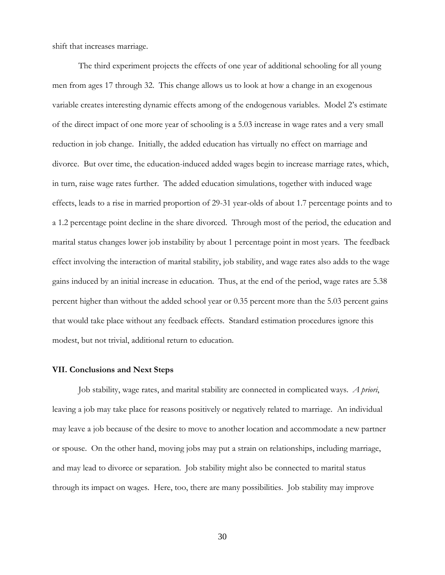shift that increases marriage.

The third experiment projects the effects of one year of additional schooling for all young men from ages 17 through 32. This change allows us to look at how a change in an exogenous variable creates interesting dynamic effects among of the endogenous variables. Model 2's estimate of the direct impact of one more year of schooling is a 5.03 increase in wage rates and a very small reduction in job change. Initially, the added education has virtually no effect on marriage and divorce. But over time, the education-induced added wages begin to increase marriage rates, which, in turn, raise wage rates further. The added education simulations, together with induced wage effects, leads to a rise in married proportion of 29-31 year-olds of about 1.7 percentage points and to a 1.2 percentage point decline in the share divorced. Through most of the period, the education and marital status changes lower job instability by about 1 percentage point in most years. The feedback effect involving the interaction of marital stability, job stability, and wage rates also adds to the wage gains induced by an initial increase in education. Thus, at the end of the period, wage rates are 5.38 percent higher than without the added school year or 0.35 percent more than the 5.03 percent gains that would take place without any feedback effects. Standard estimation procedures ignore this modest, but not trivial, additional return to education.

#### **VII. Conclusions and Next Steps**

Job stability, wage rates, and marital stability are connected in complicated ways. *A priori*, leaving a job may take place for reasons positively or negatively related to marriage. An individual may leave a job because of the desire to move to another location and accommodate a new partner or spouse. On the other hand, moving jobs may put a strain on relationships, including marriage, and may lead to divorce or separation. Job stability might also be connected to marital status through its impact on wages. Here, too, there are many possibilities. Job stability may improve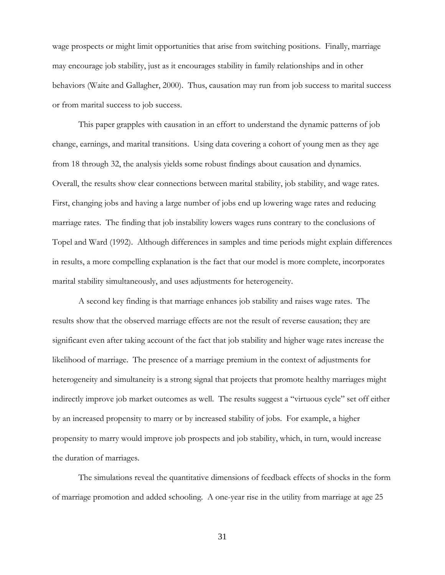wage prospects or might limit opportunities that arise from switching positions. Finally, marriage may encourage job stability, just as it encourages stability in family relationships and in other behaviors (Waite and Gallagher, 2000). Thus, causation may run from job success to marital success or from marital success to job success.

This paper grapples with causation in an effort to understand the dynamic patterns of job change, earnings, and marital transitions. Using data covering a cohort of young men as they age from 18 through 32, the analysis yields some robust findings about causation and dynamics. Overall, the results show clear connections between marital stability, job stability, and wage rates. First, changing jobs and having a large number of jobs end up lowering wage rates and reducing marriage rates. The finding that job instability lowers wages runs contrary to the conclusions of Topel and Ward (1992). Although differences in samples and time periods might explain differences in results, a more compelling explanation is the fact that our model is more complete, incorporates marital stability simultaneously, and uses adjustments for heterogeneity.

A second key finding is that marriage enhances job stability and raises wage rates. The results show that the observed marriage effects are not the result of reverse causation; they are significant even after taking account of the fact that job stability and higher wage rates increase the likelihood of marriage. The presence of a marriage premium in the context of adjustments for heterogeneity and simultaneity is a strong signal that projects that promote healthy marriages might indirectly improve job market outcomes as well. The results suggest a "virtuous cycle" set off either by an increased propensity to marry or by increased stability of jobs. For example, a higher propensity to marry would improve job prospects and job stability, which, in turn, would increase the duration of marriages.

The simulations reveal the quantitative dimensions of feedback effects of shocks in the form of marriage promotion and added schooling. A one-year rise in the utility from marriage at age 25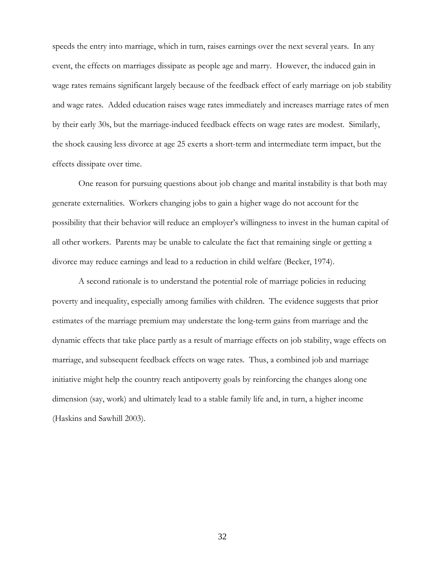speeds the entry into marriage, which in turn, raises earnings over the next several years. In any event, the effects on marriages dissipate as people age and marry. However, the induced gain in wage rates remains significant largely because of the feedback effect of early marriage on job stability and wage rates. Added education raises wage rates immediately and increases marriage rates of men by their early 30s, but the marriage-induced feedback effects on wage rates are modest. Similarly, the shock causing less divorce at age 25 exerts a short-term and intermediate term impact, but the effects dissipate over time.

One reason for pursuing questions about job change and marital instability is that both may generate externalities. Workers changing jobs to gain a higher wage do not account for the possibility that their behavior will reduce an employer's willingness to invest in the human capital of all other workers. Parents may be unable to calculate the fact that remaining single or getting a divorce may reduce earnings and lead to a reduction in child welfare (Becker, 1974).

A second rationale is to understand the potential role of marriage policies in reducing poverty and inequality, especially among families with children. The evidence suggests that prior estimates of the marriage premium may understate the long-term gains from marriage and the dynamic effects that take place partly as a result of marriage effects on job stability, wage effects on marriage, and subsequent feedback effects on wage rates. Thus, a combined job and marriage initiative might help the country reach antipoverty goals by reinforcing the changes along one dimension (say, work) and ultimately lead to a stable family life and, in turn, a higher income (Haskins and Sawhill 2003).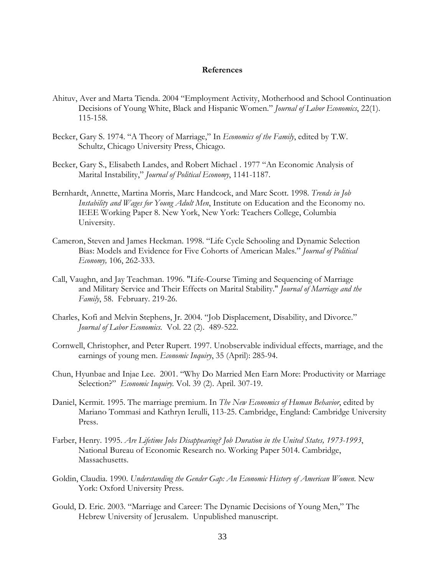### **References**

- Ahituv, Aver and Marta Tienda. 2004 "Employment Activity, Motherhood and School Continuation Decisions of Young White, Black and Hispanic Women." *Journal of Labor Economics*, 22(1). 115-158.
- Becker, Gary S. 1974. "A Theory of Marriage," In *Economics of the Family*, edited by T.W. Schultz, Chicago University Press, Chicago.
- Becker, Gary S., Elisabeth Landes, and Robert Michael . 1977 "An Economic Analysis of Marital Instability," *Journal of Political Economy*, 1141-1187.
- Bernhardt, Annette, Martina Morris, Marc Handcock, and Marc Scott. 1998. *Trends in Job Instability and Wages for Young Adult Men*, Institute on Education and the Economy no. IEEE Working Paper 8. New York, New York: Teachers College, Columbia University.
- Cameron, Steven and James Heckman. 1998. "Life Cycle Schooling and Dynamic Selection Bias: Models and Evidence for Five Cohorts of American Males." *Journal of Political Economy,* 106, 262-333.
- Call, Vaughn, and Jay Teachman. 1996. "Life-Course Timing and Sequencing of Marriage and Military Service and Their Effects on Marital Stability." *Journal of Marriage and the Family*, 58. February. 219-26.
- Charles, Kofi and Melvin Stephens, Jr. 2004. "Job Displacement, Disability, and Divorce." *Journal of Labor Economics.* Vol. 22 (2). 489-522.
- Cornwell, Christopher, and Peter Rupert. 1997. Unobservable individual effects, marriage, and the earnings of young men. *Economic Inquiry*, 35 (April): 285-94.
- Chun, Hyunbae and Injae Lee. 2001. "Why Do Married Men Earn More: Productivity or Marriage Selection?" *Economic Inquiry.* Vol. 39 (2). April. 307-19.
- Daniel, Kermit. 1995. The marriage premium. In *The New Economics of Human Behavior*, edited by Mariano Tommasi and Kathryn Ierulli, 113-25. Cambridge, England: Cambridge University Press.
- Farber, Henry. 1995. *Are Lifetime Jobs Disappearing? Job Duration in the United States, 1973-1993*, National Bureau of Economic Research no. Working Paper 5014. Cambridge, Massachusetts.
- Goldin, Claudia. 1990. *Understanding the Gender Gap: An Economic History of American Women*. New York: Oxford University Press.
- Gould, D. Eric. 2003. "Marriage and Career: The Dynamic Decisions of Young Men," The Hebrew University of Jerusalem. Unpublished manuscript.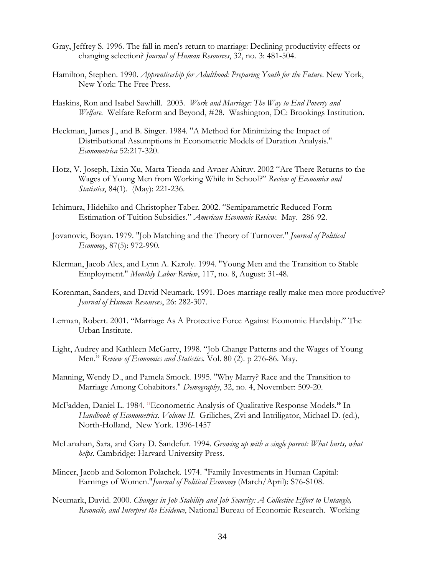- Gray, Jeffrey S. 1996. The fall in men's return to marriage: Declining productivity effects or changing selection? *Journal of Human Resources*, 32, no. 3: 481-504.
- Hamilton, Stephen. 1990. *Apprenticeship for Adulthood: Preparing Youth for the Future*. New York, New York: The Free Press.
- Haskins, Ron and Isabel Sawhill. 2003. *Work and Marriage: The Way to End Poverty and Welfare.* Welfare Reform and Beyond, #28. Washington, DC: Brookings Institution.
- Heckman, James J., and B. Singer. 1984. "A Method for Minimizing the Impact of Distributional Assumptions in Econometric Models of Duration Analysis." *Econometrica* 52:217-320.
- Hotz, V. Joseph, Lixin Xu, Marta Tienda and Avner Ahituv. 2002 "Are There Returns to the Wages of Young Men from Working While in School?" *Review of Economics and Statistics*, 84(1). (May): 221-236.
- Ichimura, Hidehiko and Christopher Taber. 2002. "Semiparametric Reduced-Form Estimation of Tuition Subsidies." *American Economic Review.* May. 286-92.
- Jovanovic, Boyan. 1979. "Job Matching and the Theory of Turnover." *Journal of Political Economy*, 87(5): 972-990.
- Klerman, Jacob Alex, and Lynn A. Karoly. 1994. "Young Men and the Transition to Stable Employment." *Monthly Labor Review*, 117, no. 8, August: 31-48.
- Korenman, Sanders, and David Neumark. 1991. Does marriage really make men more productive? *Journal of Human Resources*, 26: 282-307.
- Lerman, Robert. 2001. "Marriage As A Protective Force Against Economic Hardship." The Urban Institute.
- Light, Audrey and Kathleen McGarry, 1998. "Job Change Patterns and the Wages of Young Men." *Review of Economics and Statistics.* Vol. 80 (2). p 276-86. May.
- Manning, Wendy D., and Pamela Smock. 1995. "Why Marry? Race and the Transition to Marriage Among Cohabitors." *Demography*, 32, no. 4, November: 509-20.
- McFadden, Daniel L. 1984. "Econometric Analysis of Qualitative Response Models.**"** In *Handbook of Econometrics. Volume II.* Griliches, Zvi and Intriligator, Michael D. (ed.), North-Holland, New York. 1396-1457
- McLanahan, Sara, and Gary D. Sandefur. 1994. *Growing up with a single parent: What hurts, what helps*. Cambridge: Harvard University Press.
- Mincer, Jacob and Solomon Polachek. 1974. "Family Investments in Human Capital: Earnings of Women."*Journal of Political Economy* (March/April): S76-S108.
- Neumark, David. 2000. *Changes in Job Stability and Job Security: A Collective Effort to Untangle, Reconcile, and Interpret the Evidence*, National Bureau of Economic Research. Working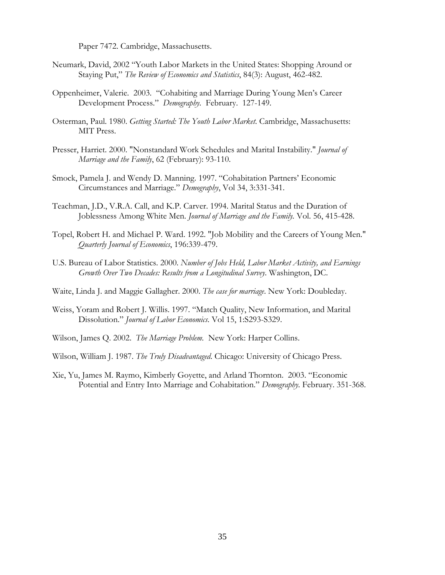Paper 7472. Cambridge, Massachusetts.

- Neumark, David, 2002 "Youth Labor Markets in the United States: Shopping Around or Staying Put," *The Review of Economics and Statistics*, 84(3): August, 462-482.
- Oppenheimer, Valerie. 2003. "Cohabiting and Marriage During Young Men's Career Development Process." *Demography.* February. 127-149.
- Osterman, Paul. 1980. *Getting Started: The Youth Labor Market*. Cambridge, Massachusetts: MIT Press.
- Presser, Harriet. 2000. "Nonstandard Work Schedules and Marital Instability." *Journal of Marriage and the Family*, 62 (February): 93-110.
- Smock, Pamela J. and Wendy D. Manning. 1997. "Cohabitation Partners' Economic Circumstances and Marriage." *Demography*, Vol 34, 3:331-341.
- Teachman, J.D., V.R.A. Call, and K.P. Carver. 1994. Marital Status and the Duration of Joblessness Among White Men. *Journal of Marriage and the Family.* Vol. 56, 415-428.
- Topel, Robert H. and Michael P. Ward. 1992. "Job Mobility and the Careers of Young Men." *Quarterly Journal of Economics*, 196:339-479.
- U.S. Bureau of Labor Statistics. 2000. *Number of Jobs Held, Labor Market Activity, and Earnings Growth Over Two Decades: Results from a Longitudinal Survey*. Washington, DC.
- Waite, Linda J. and Maggie Gallagher. 2000. *The case for marriage*. New York: Doubleday.
- Weiss, Yoram and Robert J. Willis. 1997. "Match Quality, New Information, and Marital Dissolution." *Journal of Labor Economics*. Vol 15, 1:S293-S329.
- Wilson, James Q. 2002. *The Marriage Problem.* New York: Harper Collins.
- Wilson, William J. 1987. *The Truly Disadvantaged*. Chicago: University of Chicago Press.
- Xie, Yu, James M. Raymo, Kimberly Goyette, and Arland Thornton. 2003. "Economic Potential and Entry Into Marriage and Cohabitation." *Demography.* February. 351-368.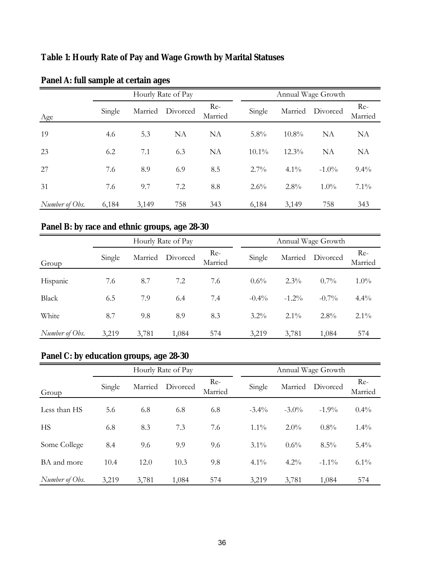# **Table 1: Hourly Rate of Pay and Wage Growth by Marital Statuses**

|                |        | Hourly Rate of Pay |                  |                  | Annual Wage Growth |          |                  |                |
|----------------|--------|--------------------|------------------|------------------|--------------------|----------|------------------|----------------|
| Age            | Single |                    | Married Divorced | $Re-$<br>Married | Single             |          | Married Divorced | Re-<br>Married |
| 19             | 4.6    | 5.3                | NA               | NA               | $5.8\%$            | $10.8\%$ | NA               | NA             |
| 23             | 6.2    | 7.1                | 6.3              | NA               | $10.1\%$           | $12.3\%$ | <b>NA</b>        | NA             |
| 27             | 7.6    | 8.9                | 6.9              | 8.5              | $2.7\%$            | $4.1\%$  | $-1.0\%$         | $9.4\%$        |
| 31             | 7.6    | 9.7                | 7.2              | 8.8              | $2.6\%$            | $2.8\%$  | $1.0\%$          | $7.1\%$        |
| Number of Obs. | 6,184  | 3,149              | 758              | 343              | 6,184              | 3,149    | 758              | 343            |

## **Panel A: full sample at certain ages**

# **Panel B: by race and ethnic groups, age 28-30**

|                |        |         | Hourly Rate of Pay |                |  | Annual Wage Growth |          |          |                |
|----------------|--------|---------|--------------------|----------------|--|--------------------|----------|----------|----------------|
| Group          | Single | Married | Divorced           | Re-<br>Married |  | Single             | Married  | Divorced | Re-<br>Married |
| Hispanic       | 7.6    | 8.7     | 7.2                | 7.6            |  | $0.6\%$            | $2.3\%$  | $0.7\%$  | $1.0\%$        |
| Black          | 6.5    | 7.9     | 6.4                | 7.4            |  | $-0.4\%$           | $-1.2\%$ | $-0.7\%$ | 4.4%           |
| White          | 8.7    | 9.8     | 8.9                | 8.3            |  | $3.2\%$            | $2.1\%$  | $2.8\%$  | $2.1\%$        |
| Number of Obs. | 3,219  | 3,781   | 1,084              | 574            |  | 3,219              | 3,781    | 1,084    | 574            |

## **Panel C: by education groups, age 28-30**

|                |        | Hourly Rate of Pay |          |                  | Annual Wage Growth |          |          |                |
|----------------|--------|--------------------|----------|------------------|--------------------|----------|----------|----------------|
| Group          | Single | Married            | Divorced | $Re-$<br>Married | Single             | Married  | Divorced | Re-<br>Married |
| Less than HS   | 5.6    | 6.8                | 6.8      | 6.8              | $-3.4\%$           | $-3.0\%$ | $-1.9\%$ | $0.4\%$        |
| HS             | 6.8    | 8.3                | 7.3      | 7.6              | $1.1\%$            | $2.0\%$  | $0.8\%$  | $1.4\%$        |
| Some College   | 8.4    | 9.6                | 9.9      | 9.6              | $3.1\%$            | $0.6\%$  | $8.5\%$  | $5.4\%$        |
| BA and more    | 10.4   | 12.0               | 10.3     | 9.8              | $4.1\%$            | $4.2\%$  | $-1.1\%$ | $6.1\%$        |
| Number of Obs. | 3,219  | 3,781              | 1,084    | 574              | 3,219              | 3,781    | 1,084    | 574            |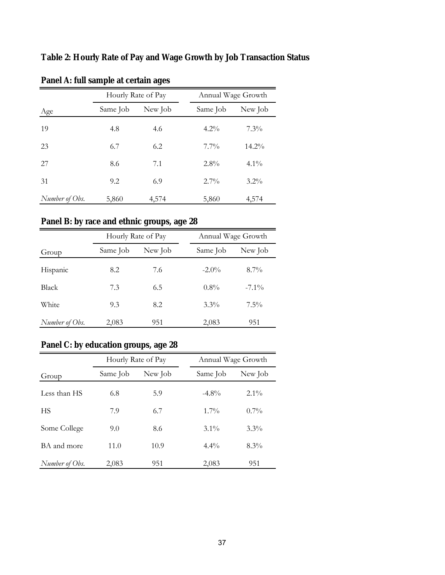**Table 2: Hourly Rate of Pay and Wage Growth by Job Transaction Status** 

|                |          | Hourly Rate of Pay |          | Annual Wage Growth |
|----------------|----------|--------------------|----------|--------------------|
| Age            | Same Job | New Job            | Same Job | New Job            |
| 19             | 4.8      | 4.6                | $4.2\%$  | $7.3\%$            |
| 23             | 6.7      | 6.2                | $7.7\%$  | $14.2\%$           |
| 27             | 8.6      | 7.1                | 2.8%     | $4.1\%$            |
| 31             | 9.2      | 6.9                | $2.7\%$  | $3.2\%$            |
| Number of Obs. | 5,860    | 4,574              | 5,860    | 4,574              |

**Panel A: full sample at certain ages**

# **Panel B: by race and ethnic groups, age 28**

|                |                     | Hourly Rate of Pay |          | Annual Wage Growth |  |  |
|----------------|---------------------|--------------------|----------|--------------------|--|--|
| Group          | New Job<br>Same Job |                    | Same Job | New Job            |  |  |
| Hispanic       | 8.2                 | 7.6                | $-2.0\%$ | $8.7\%$            |  |  |
| Black          | 7.3                 | 6.5                | $0.8\%$  | $-7.1\%$           |  |  |
| White          | 9.3                 | 8.2                | $3.3\%$  | $7.5\%$            |  |  |
| Number of Obs. | 2,083               | 951                | 2,083    | 951                |  |  |

# **Panel C: by education groups, age 28**

|                |          | Hourly Rate of Pay |          | Annual Wage Growth |  |  |
|----------------|----------|--------------------|----------|--------------------|--|--|
| Group          | Same Job | New Job            | Same Job | New Job            |  |  |
| Less than HS   | 6.8      | 5.9                | $-4.8\%$ | $2.1\%$            |  |  |
| HS             | 7.9      | 6.7                | $1.7\%$  | $0.7\%$            |  |  |
| Some College   | 9.0      | 8.6                | $3.1\%$  | $3.3\%$            |  |  |
| BA and more    | 11.0     | 10.9               | $4.4\%$  | $8.3\%$            |  |  |
| Number of Obs. | 2,083    | 951                | 2,083    | 951                |  |  |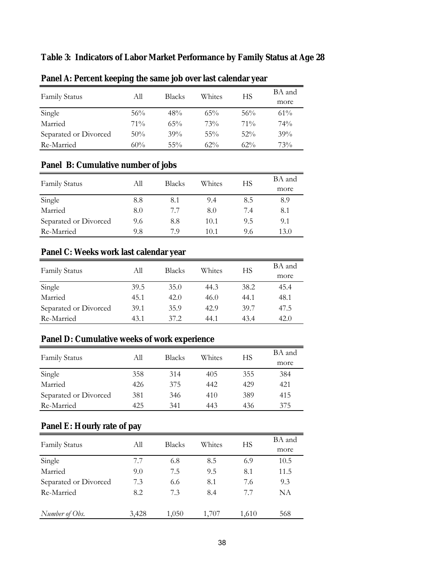## **Table 3: Indicators of Labor Market Performance by Family Status at Age 28**

|                       | . .    |               |        |        |                |
|-----------------------|--------|---------------|--------|--------|----------------|
| <b>Family Status</b>  | All    | <b>Blacks</b> | Whites | НS     | BA and<br>more |
| Single                | 56%    | 48%           | 65%    | 56%    | $61\%$         |
| Married               | $71\%$ | 65%           | 73%    | $71\%$ | 74%            |
| Separated or Divorced | 50%    | 39%           | $55\%$ | $52\%$ | 39%            |
| Re-Married            | 60%    | $55\%$        | $62\%$ | $62\%$ | 73%            |

## **Panel A: Percent keeping the same job over last calendar year**

# **Panel B: Cumulative number of jobs**

| <b>Family Status</b>  | Аll | <b>Blacks</b> | Whites | НS  | BA and |
|-----------------------|-----|---------------|--------|-----|--------|
|                       |     |               |        |     | more   |
| Single                | 8.8 | 8.1           | 9.4    | 8.5 | 8.9    |
| Married               | 8.0 | 7.7           | 8.0    | 7.4 | 8.1    |
| Separated or Divorced | 9.6 | 8.8           | 10.1   | 9.5 | 9.1    |
| Re-Married            | 9.8 | 7.9           | 10.1   | 9.6 | 13.0   |

### **Panel C: Weeks work last calendar year**

| <b>Family Status</b>  | All  | <b>Blacks</b> | Whites | НS   | BA and |
|-----------------------|------|---------------|--------|------|--------|
|                       |      |               |        |      | more   |
| Single                | 39.5 | 35.0          | 44.3   | 38.2 | 45.4   |
| Married               | 45.1 | 42.0          | 46.0   | 44.1 | 48.1   |
| Separated or Divorced | 39.1 | 35.9          | 42.9   | 39.7 | 47.5   |
| Re-Married            | 43.1 | 37.2          | 44.1   | 43.4 | 42.0   |

### **Panel D: Cumulative weeks of work experience**

| <b>Family Status</b>  | All | <b>Blacks</b> | Whites | НS  | BA and |
|-----------------------|-----|---------------|--------|-----|--------|
|                       |     |               |        |     | more   |
| Single                | 358 | 314           | 405    | 355 | 384    |
| Married               | 426 | 375           | 442    | 429 | 421    |
| Separated or Divorced | 381 | 346           | 410    | 389 | 415    |
| Re-Married            | 425 | 341           | 443    | 436 | 375    |

## **Panel E: Hourly rate of pay**

| <b>Family Status</b>  | All   | <b>Blacks</b> | Whites | НS    | BA and |
|-----------------------|-------|---------------|--------|-------|--------|
|                       |       |               |        |       | more   |
| Single                | 7.7   | 6.8           | 8.5    | 6.9   | 10.5   |
| Married               | 9.0   | 7.5           | 9.5    | 8.1   | 11.5   |
| Separated or Divorced | 7.3   | 6.6           | 8.1    | 7.6   | 9.3    |
| Re-Married            | 8.2   | 7.3           | 8.4    | 7.7   | NA     |
| Number of Obs.        | 3,428 | 1,050         | 1.707  | 1,610 | 568    |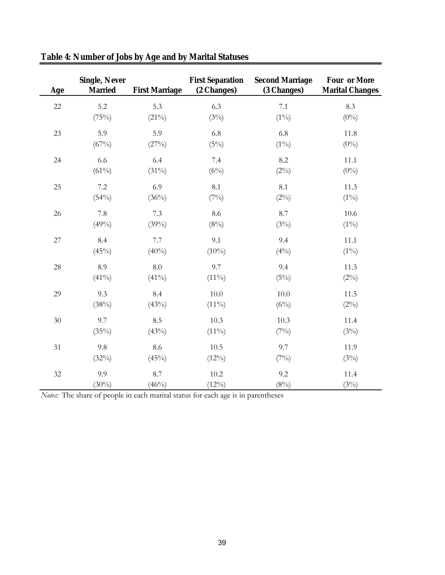| Age | <b>Single, Never</b><br><b>Married</b> | <b>First Marriage</b> | <b>First Separation</b><br>(2 Changes) | <b>Second Marriage</b><br>(3 Changes) | <b>Four or More</b><br><b>Marital Changes</b> |
|-----|----------------------------------------|-----------------------|----------------------------------------|---------------------------------------|-----------------------------------------------|
| 22  | 5.2                                    | 5.3                   | 6.3                                    | 7.1                                   | 8.3                                           |
|     | (75%)                                  | $(21\%)$              | (3%)                                   | $(1\%)$                               | $(0\%)$                                       |
| 23  | 5.9                                    | 5.9                   | 6.8                                    | 6.8                                   | 11.8                                          |
|     | $(67\%)$                               | (27%)                 | (5%)                                   | $(1\%)$                               | $(0\%)$                                       |
| 24  | 6.6                                    | 6.4                   | 7.4                                    | 8.2                                   | 11.1                                          |
|     | $(61\%)$                               | $(31\%)$              | (6%)                                   | $(2\%)$                               | $(0\%)$                                       |
| 25  | 7.2                                    | 6.9                   | 8.1                                    | 8.1                                   | 11.3                                          |
|     | (54%)                                  | (36%)                 | (7%)                                   | $(2\%)$                               | $(1\%)$                                       |
| 26  | 7.8                                    | $7.3$                 | 8.6                                    | 8.7                                   | 10.6                                          |
|     | (49%)                                  | (39%)                 | (8%)                                   | (3%)                                  | $(1\%)$                                       |
| 27  | 8.4                                    | 7.7                   | 9.1                                    | 9.4                                   | 11.1                                          |
|     | (45%)                                  | $(40\%)$              | $(10\%)$                               | $(4\%)$                               | $(1\%)$                                       |
| 28  | 8.9                                    | 8.0                   | 9.7                                    | 9.4                                   | 11.3                                          |
|     | $(41\%)$                               | $(41\%)$              | $(11\%)$                               | (5%)                                  | $(2\%)$                                       |
| 29  | 9.3                                    | 8.4                   | $10.0\,$                               | 10.0                                  | 11.5                                          |
|     | (38%)                                  | (43%)                 | $(11\%)$                               | (6%)                                  | $(2\%)$                                       |
| 30  | 9.7                                    | 8.5                   | 10.3                                   | 10.3                                  | 11.4                                          |
|     | (35%)                                  | (43%)                 | $(11\%)$                               | (7%)                                  | (3%)                                          |
| 31  | 9.8                                    | 8.6                   | $10.5\,$                               | 9.7                                   | 11.9                                          |
|     | (32%)                                  | (45%)                 | $(12\%)$                               | (7%)                                  | (3%)                                          |
| 32  | 9.9                                    | 8.7                   | 10.2                                   | 9.2                                   | 11.4                                          |
|     | $(30\%)$                               | (46%)                 | $(12\%)$                               | $(8\%)$                               | (3%)                                          |

|  |  |  |  |  | Table 4: Number of Jobs by Age and by Marital Statuses |
|--|--|--|--|--|--------------------------------------------------------|
|  |  |  |  |  |                                                        |

*Notes:* The share of people in each marital status for each age is in parentheses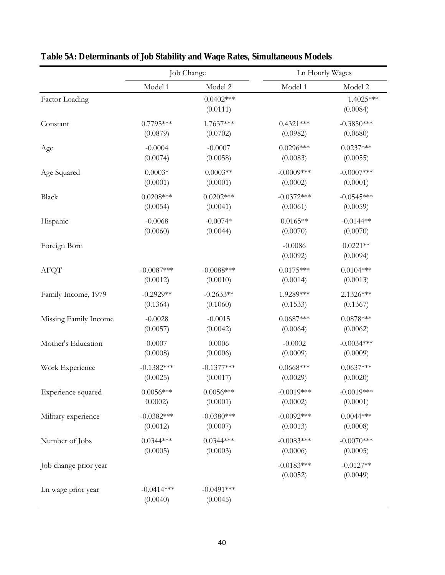|                       |                          | Job Change               | Ln Hourly Wages          |                         |
|-----------------------|--------------------------|--------------------------|--------------------------|-------------------------|
|                       | Model 1                  | Model 2                  | Model 1                  | Model 2                 |
| Factor Loading        |                          | $0.0402***$<br>(0.0111)  |                          | 1.4025***<br>(0.0084)   |
| Constant              | $0.7795***$              | 1.7637***                | $0.4321***$              | $-0.3850***$            |
|                       | (0.0879)                 | (0.0702)                 | (0.0982)                 | (0.0680)                |
| Age                   | $-0.0004$                | $-0.0007$                | $0.0296***$              | $0.0237***$             |
|                       | (0.0074)                 | (0.0058)                 | (0.0083)                 | (0.0055)                |
| Age Squared           | $0.0003*$                | $0.0003**$               | $-0.0009$ ***            | $-0.0007***$            |
|                       | (0.0001)                 | (0.0001)                 | (0.0002)                 | (0.0001)                |
| Black                 | $0.0208***$              | $0.0202***$              | $-0.0372***$             | $-0.0545***$            |
|                       | (0.0054)                 | (0.0041)                 | (0.0061)                 | (0.0059)                |
| Hispanic              | $-0.0068$                | $-0.0074*$               | $0.0165**$               | $-0.0144**$             |
|                       | (0.0060)                 | (0.0044)                 | (0.0070)                 | (0.0070)                |
| Foreign Born          |                          |                          | $-0.0086$<br>(0.0092)    | $0.0221**$<br>(0.0094)  |
| <b>AFQT</b>           | $-0.0087***$             | $-0.0088***$             | $0.0175***$              | $0.0104***$             |
|                       | (0.0012)                 | (0.0010)                 | (0.0014)                 | (0.0013)                |
| Family Income, 1979   | $-0.2929**$              | $-0.2633**$              | 1.9289***                | 2.1326***               |
|                       | (0.1364)                 | (0.1060)                 | (0.1533)                 | (0.1367)                |
| Missing Family Income | $-0.0028$                | $-0.0015$                | $0.0687***$              | $0.0878***$             |
|                       | (0.0057)                 | (0.0042)                 | (0.0064)                 | (0.0062)                |
| Mother's Education    | 0.0007                   | 0.0006                   | $-0.0002$                | $-0.0034***$            |
|                       | (0.0008)                 | (0.0006)                 | (0.0009)                 | (0.0009)                |
| Work Experience       | $-0.1382***$             | $-0.1377***$             | $0.0668***$              | $0.0637***$             |
|                       | (0.0025)                 | (0.0017)                 | (0.0029)                 | (0.0020)                |
| Experience squared    | $0.0056***$              | $0.0056***$              | $-0.0019***$             | $-0.0019***$            |
|                       | $0.0002$ )               | (0.0001)                 | (0.0002)                 | (0.0001)                |
| Military experience   | $-0.0382***$             | $-0.0380***$             | $-0.0092***$             | $0.0044***$             |
|                       | (0.0012)                 | (0.0007)                 | (0.0013)                 | (0.0008)                |
| Number of Jobs        | $0.0344***$              | $0.0344***$              | $-0.0083***$             | $-0.0070***$            |
|                       | (0.0005)                 | (0.0003)                 | (0.0006)                 | (0.0005)                |
| Job change prior year |                          |                          | $-0.0183***$<br>(0.0052) | $-0.0127**$<br>(0.0049) |
| Ln wage prior year    | $-0.0414***$<br>(0.0040) | $-0.0491***$<br>(0.0045) |                          |                         |

**Table 5A: Determinants of Job Stability and Wage Rates, Simultaneous Models**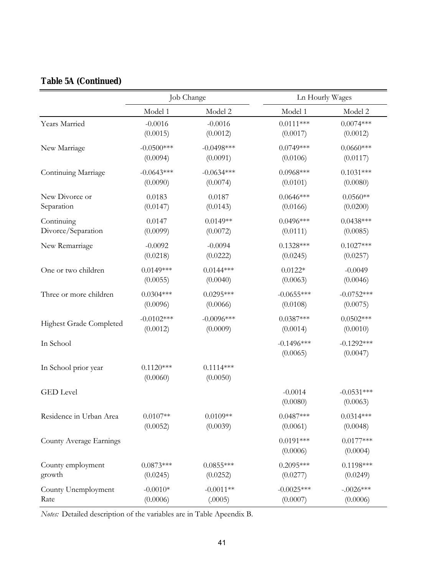|  |  | <b>Table 5A (Continued)</b> |
|--|--|-----------------------------|
|--|--|-----------------------------|

|                                |                         | Job Change              | Ln Hourly Wages          |                          |  |  |
|--------------------------------|-------------------------|-------------------------|--------------------------|--------------------------|--|--|
|                                | Model 1                 | Model 2                 | Model 1                  | Model 2                  |  |  |
| Years Married                  | $-0.0016$               | $-0.0016$               | $0.0111***$              | $0.0074***$              |  |  |
|                                | (0.0015)                | (0.0012)                | (0.0017)                 | (0.0012)                 |  |  |
| New Marriage                   | $-0.0500***$            | $-0.0498***$            | $0.0749***$              | $0.0660***$              |  |  |
|                                | (0.0094)                | (0.0091)                | (0.0106)                 | (0.0117)                 |  |  |
| Continuing Marriage            | $-0.0643***$            | $-0.0634***$            | $0.0968***$              | $0.1031***$              |  |  |
|                                | (0.0090)                | (0.0074)                | (0.0101)                 | (0.0080)                 |  |  |
| New Divorce or                 | 0.0183                  | 0.0187                  | $0.0646***$              | $0.0560**$               |  |  |
| Separation                     | (0.0147)                | (0.0143)                | (0.0166)                 | (0.0200)                 |  |  |
| Continuing                     | 0.0147                  | $0.0149**$              | $0.0496***$              | $0.0438***$              |  |  |
| Divorce/Separation             | (0.0099)                | (0.0072)                | (0.0111)                 | (0.0085)                 |  |  |
| New Remarriage                 | $-0.0092$               | $-0.0094$               | $0.1328***$              | $0.1027***$              |  |  |
|                                | (0.0218)                | (0.0222)                | (0.0245)                 | (0.0257)                 |  |  |
| One or two children            | $0.0149***$             | $0.0144***$             | $0.0122*$                | $-0.0049$                |  |  |
|                                | (0.0055)                | (0.0040)                | (0.0063)                 | (0.0046)                 |  |  |
| Three or more children         | $0.0304***$             | $0.0295***$             | $-0.0655***$             | $-0.0752***$             |  |  |
|                                | (0.0096)                | (0.0066)                | (0.0108)                 | (0.0075)                 |  |  |
| <b>Highest Grade Completed</b> | $-0.0102***$            | $-0.0096***$            | $0.0387***$              | $0.0502***$              |  |  |
|                                | (0.0012)                | (0.0009)                | (0.0014)                 | (0.0010)                 |  |  |
| In School                      |                         |                         | $-0.1496***$<br>(0.0065) | $-0.1292***$<br>(0.0047) |  |  |
| In School prior year           | $0.1120***$<br>(0.0060) | $0.1114***$<br>(0.0050) |                          |                          |  |  |
| <b>GED</b> Level               |                         |                         | $-0.0014$<br>(0.0080)    | $-0.0531***$<br>(0.0063) |  |  |
| Residence in Urban Area        | $0.0107**$              | $0.0109**$              | $0.0487***$              | $0.0314***$              |  |  |
|                                | (0.0052)                | (0.0039)                | (0.0061)                 | (0.0048)                 |  |  |
| County Average Earnings        |                         |                         | $0.0191***$<br>(0.0006)  | $0.0177***$<br>(0.0004)  |  |  |
| County employment              | $0.0873***$             | $0.0855***$             | $0.2095***$              | $0.1198***$              |  |  |
| growth                         | (0.0245)                | (0.0252)                | (0.0277)                 | (0.0249)                 |  |  |
| County Unemployment            | $-0.0010*$              | $-0.0011**$             | $-0.0025***$             | $-.0026***$              |  |  |
| Rate                           | (0.0006)                | (.0005)                 | (0.0007)                 | (0.0006)                 |  |  |

*Notes:* Detailed description of the variables are in Table Apeendix B.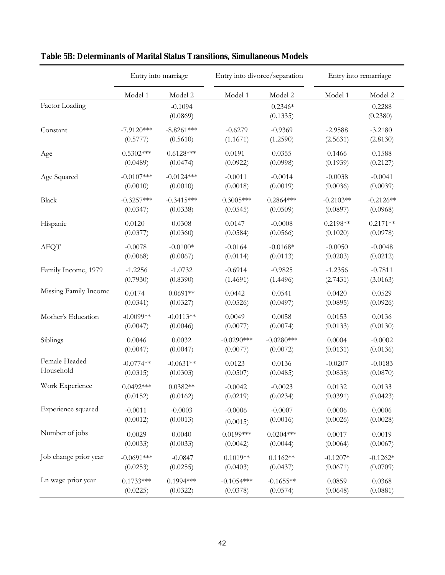|                       |              | Entry into marriage   | Entry into divorce/separation |                       |             | Entry into remarriage |
|-----------------------|--------------|-----------------------|-------------------------------|-----------------------|-------------|-----------------------|
|                       | Model 1      | Model 2               | Model 1                       | Model 2               | Model 1     | Model 2               |
| Factor Loading        |              | $-0.1094$<br>(0.0869) |                               | $0.2346*$<br>(0.1335) |             | 0.2288<br>(0.2380)    |
| Constant              | $-7.9120***$ | $-8.8261***$          | $-0.6279$                     | $-0.9369$             | $-2.9588$   | $-3.2180$             |
|                       | (0.5777)     | (0.5610)              | (1.1671)                      | (1.2590)              | (2.5631)    | (2.8130)              |
| Age                   | $0.5302***$  | $0.6128***$           | 0.0191                        | 0.0355                | 0.1466      | 0.1588                |
|                       | (0.0489)     | (0.0474)              | (0.0922)                      | (0.0998)              | (0.1939)    | (0.2127)              |
| Age Squared           | $-0.0107***$ | $-0.0124***$          | $-0.0011$                     | $-0.0014$             | $-0.0038$   | $-0.0041$             |
|                       | (0.0010)     | (0.0010)              | (0.0018)                      | (0.0019)              | (0.0036)    | (0.0039)              |
| Black                 | $-0.3257***$ | $-0.3415***$          | $0.3005***$                   | $0.2864***$           | $-0.2103**$ | $-0.2126**$           |
|                       | (0.0347)     | (0.0338)              | (0.0545)                      | (0.0509)              | (0.0897)    | (0.0968)              |
| Hispanic              | 0.0120       | 0.0308                | 0.0147                        | $-0.0008$             | $0.2198**$  | $0.2171**$            |
|                       | (0.0377)     | (0.0360)              | (0.0584)                      | (0.0566)              | (0.1020)    | (0.0978)              |
| <b>AFQT</b>           | $-0.0078$    | $-0.0100*$            | $-0.0164$                     | $-0.0168*$            | $-0.0050$   | $-0.0048$             |
|                       | (0.0068)     | (0.0067)              | (0.0114)                      | (0.0113)              | (0.0203)    | (0.0212)              |
| Family Income, 1979   | $-1.2256$    | $-1.0732$             | $-0.6914$                     | $-0.9825$             | $-1.2356$   | $-0.7811$             |
|                       | (0.7930)     | (0.8390)              | (1.4691)                      | (1.4496)              | (2.7431)    | (3.0163)              |
| Missing Family Income | 0.0174       | $0.0691**$            | 0.0442                        | 0.0541                | 0.0420      | 0.0529                |
|                       | (0.0341)     | (0.0327)              | (0.0526)                      | (0.0497)              | (0.0895)    | (0.0926)              |
| Mother's Education    | $-0.0099**$  | $-0.0113**$           | 0.0049                        | 0.0058                | 0.0153      | 0.0136                |
|                       | (0.0047)     | (0.0046)              | (0.0077)                      | (0.0074)              | (0.0133)    | (0.0130)              |
| Siblings              | 0.0046       | 0.0032                | $-0.0290***$                  | $-0.0280***$          | 0.0004      | $-0.0002$             |
|                       | (0.0047)     | (0.0047)              | (0.0077)                      | (0.0072)              | (0.0131)    | (0.0136)              |
| Female Headed         | $-0.0774**$  | $-0.0631**$           | 0.0123                        | 0.0136                | $-0.0207$   | $-0.0183$             |
| Household             | (0.0315)     | (0.0303)              | (0.0507)                      | (0.0485)              | (0.0838)    | (0.0870)              |
| Work Experience       | $0.0492***$  | $0.0382**$            | $-0.0042$                     | $-0.0023$             | 0.0132      | 0.0133                |
|                       | (0.0152)     | (0.0162)              | (0.0219)                      | (0.0234)              | (0.0391)    | (0.0423)              |
| Experience squared    | $-0.0011$    | $-0.0003$             | $-0.0006$                     | $-0.0007$             | 0.0006      | 0.0006                |
|                       | (0.0012)     | (0.0013)              | (0.0015)                      | (0.0016)              | (0.0026)    | (0.0028)              |
| Number of jobs        | 0.0029       | 0.0040                | $0.0199***$                   | $0.0204***$           | 0.0017      | 0.0019                |
|                       | (0.0033)     | (0.0033)              | (0.0042)                      | (0.0044)              | (0.0064)    | (0.0067)              |
| Job change prior year | $-0.0691***$ | $-0.0847$             | $0.1019**$                    | $0.1162**$            | $-0.1207*$  | $-0.1262*$            |
|                       | (0.0253)     | (0.0255)              | (0.0403)                      | (0.0437)              | (0.0671)    | (0.0709)              |
| Ln wage prior year    | $0.1733***$  | $0.1994***$           | $-0.1054***$                  | $-0.1655**$           | 0.0859      | 0.0368                |
|                       | (0.0225)     | (0.0322)              | (0.0378)                      | (0.0574)              | (0.0648)    | (0.0881)              |

## **Table 5B: Determinants of Marital Status Transitions, Simultaneous Models**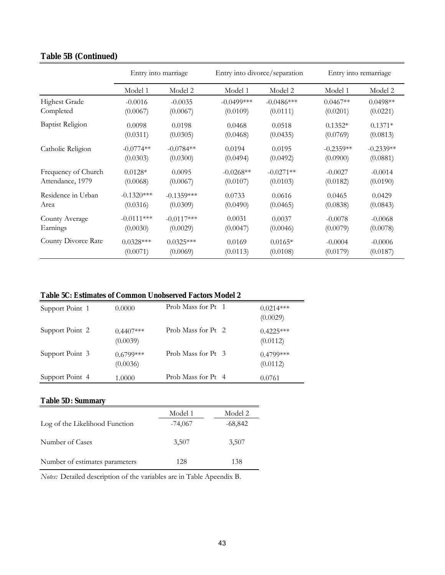|                         | Entry into marriage |              |               | Entry into divorce/separation | Entry into remarriage |             |  |
|-------------------------|---------------------|--------------|---------------|-------------------------------|-----------------------|-------------|--|
|                         | Model 1             | Model 2      | Model 1       | Model 2                       | Model 1               | Model 2     |  |
| <b>Highest Grade</b>    | $-0.0016$           | $-0.0035$    | $-0.0499$ *** | $-0.0486***$                  | $0.0467**$            | $0.0498**$  |  |
| Completed               | (0.0067)            | (0.0067)     | (0.0109)      | (0.0111)                      | (0.0201)              | (0.0221)    |  |
| <b>Baptist Religion</b> | 0.0098              | 0.0198       | 0.0468        | 0.0518                        | $0.1352*$             | $0.1371*$   |  |
|                         | (0.0311)            | (0.0305)     | (0.0468)      | (0.0435)                      | (0.0769)              | (0.0813)    |  |
| Catholic Religion       | $-0.0774**$         | $-0.0784**$  | 0.0194        | 0.0195                        | $-0.2359**$           | $-0.2339**$ |  |
|                         | (0.0303)            | (0.0300)     | (0.0494)      | (0.0492)                      | (0.0900)              | (0.0881)    |  |
| Frequency of Church     | $0.0128*$           | 0.0095       | $-0.0268**$   | $-0.0271**$                   | $-0.0027$             | $-0.0014$   |  |
| Attendance, 1979        | (0.0068)            | (0.0067)     | (0.0107)      | (0.0103)                      | (0.0182)              | (0.0190)    |  |
| Residence in Urban      | $-0.1320***$        | $-0.1359***$ | 0.0733        | 0.0616                        | 0.0465                | 0.0429      |  |
| Area                    | (0.0316)            | (0.0309)     | (0.0490)      | (0.0465)                      | (0.0838)              | (0.0843)    |  |
| County Average          | $-0.0111***$        | $-0.0117***$ | 0.0031        | 0.0037                        | $-0.0078$             | $-0.0068$   |  |
| Earnings                | (0.0030)            | (0.0029)     | (0.0047)      | (0.0046)                      | (0.0079)              | (0.0078)    |  |
| County Divorce Rate     | $0.0328***$         | $0.0325***$  | 0.0169        | $0.0165*$                     | $-0.0004$             | $-0.0006$   |  |
|                         | (0.0071)            | (0.0069)     | (0.0113)      | (0.0108)                      | (0.0179)              | (0.0187)    |  |

### **Table 5B (Continued)**

### **Table 5C: Estimates of Common Unobserved Factors Model 2**

| Support Point 1 | 0.0000                  | Prob Mass for Pt 1 | $0.0214***$<br>(0.0029) |
|-----------------|-------------------------|--------------------|-------------------------|
| Support Point 2 | $0.4407***$<br>(0.0039) | Prob Mass for Pt 2 | $0.4225***$<br>(0.0112) |
| Support Point 3 | $0.6799***$<br>(0.0036) | Prob Mass for Pt 3 | $0.4799***$<br>(0.0112) |
| Support Point 4 | 1.0000                  | Prob Mass for Pt 4 | 0.0761                  |

### **Table 5D: Summary**

|                                | Model 1   | Model 2 |
|--------------------------------|-----------|---------|
| Log of the Likelihood Function | $-74,067$ | -68,842 |
| Number of Cases                | 3,507     | 3,507   |
| Number of estimates parameters | 128       | 138     |

*Notes:* Detailed description of the variables are in Table Apeendix B.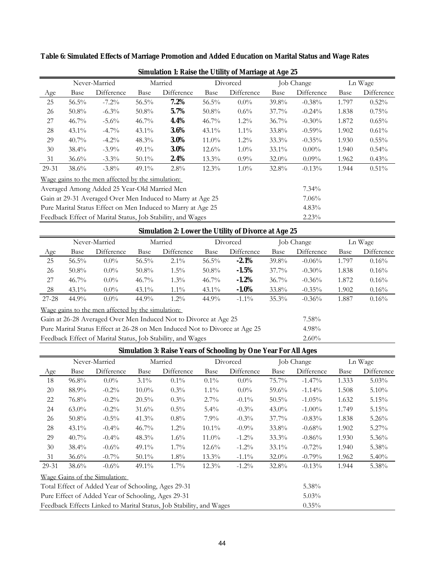|       |                                                              | Never-Married                                     |          | Married                                                     |          | Divorced   |          | Job Change | Ln Wage |            |
|-------|--------------------------------------------------------------|---------------------------------------------------|----------|-------------------------------------------------------------|----------|------------|----------|------------|---------|------------|
| Age   | Base                                                         | Difference                                        | Base     | Difference                                                  | Base     | Difference | Base     | Difference | Base    | Difference |
| 25    | $56.5\%$                                                     | $-7.2\%$                                          | $56.5\%$ | 7.2%                                                        | $56.5\%$ | $0.0\%$    | 39.8%    | $-0.38%$   | 1.797   | 0.52%      |
| 26    | $50.8\%$                                                     | $-6.3\%$                                          | $50.8\%$ | 5.7%                                                        | $50.8\%$ | $0.6\%$    | $37.7\%$ | $-0.24%$   | 1.838   | 0.75%      |
| 27    | $46.7\%$                                                     | $-5.6\%$                                          | $46.7\%$ | 4.4%                                                        | $46.7\%$ | $1.2\%$    | $36.7\%$ | $-0.30%$   | 1.872   | $0.65\%$   |
| 28    | $43.1\%$                                                     | $-4.7\%$                                          | $43.1\%$ | 3.6%                                                        | $43.1\%$ | $1.1\%$    | 33.8%    | $-0.59\%$  | 1.902   | $0.61\%$   |
| 29    | $40.7\%$                                                     | $-4.2\%$                                          | 48.3%    | <b>3.0%</b>                                                 | $11.0\%$ | $1.2\%$    | $33.3\%$ | $-0.35%$   | 1.930   | $0.55\%$   |
| 30    | $38.4\%$                                                     | $-3.9\%$                                          | $49.1\%$ | <b>3.0%</b>                                                 | $12.6\%$ | $1.0\%$    | $33.1\%$ | $0.00\%$   | 1.940   | $0.54\%$   |
| 31    | $36.6\%$                                                     | $-3.3\%$                                          | $50.1\%$ | 2.4%                                                        | $13.3\%$ | $0.9\%$    | $32.0\%$ | $0.09\%$   | 1.962   | 0.43%      |
| 29-31 | $38.6\%$                                                     | $-3.8\%$                                          | $49.1\%$ | $2.8\%$                                                     | $12.3\%$ | $1.0\%$    | 32.8%    | $-0.13%$   | 1.944   | 0.51%      |
|       |                                                              | Wage gains to the men affected by the simulation: |          |                                                             |          |            |          |            |         |            |
|       |                                                              | Averaged Among Added 25 Year-Old Married Men      |          |                                                             |          |            |          | $7.34\%$   |         |            |
|       | Gain at 29-31 Averaged Over Men Induced to Marry at Age 25   |                                                   |          |                                                             |          |            |          | 7.06%      |         |            |
|       | Pure Marital Status Effect on Men Induced to Marry at Age 25 |                                                   |          |                                                             |          |            |          | $4.83\%$   |         |            |
|       |                                                              |                                                   |          | Feedback Effect of Marital Status, Job Stability, and Wages |          |            |          | 2.23%      |         |            |

**Table 6: Simulated Effects of Marriage Promotion and Added Education on Marital Status and Wage Rates**

**Simulation 1: Raise the Utility of Marriage at Age 25**

|           | <b>Simulation 2: Lower the Utility of Divorce at Age 25</b> |                                                   |          |                                                                             |          |            |          |            |             |            |  |  |
|-----------|-------------------------------------------------------------|---------------------------------------------------|----------|-----------------------------------------------------------------------------|----------|------------|----------|------------|-------------|------------|--|--|
|           | Never-Married                                               |                                                   | Married  |                                                                             |          | Divorced   |          | Job Change | Ln Wage     |            |  |  |
| Age       | Base                                                        | Difference                                        | Base     | Difference                                                                  | Base     | Difference | Base     | Difference | <b>Base</b> | Difference |  |  |
| 25        | $56.5\%$                                                    | $0.0\%$                                           | $56.5\%$ | $2.1\%$                                                                     | $56.5\%$ | $-2.1\%$   | 39.8%    | $-0.06\%$  | 1.797       | 0.16%      |  |  |
| 26        | $50.8\%$                                                    | $0.0\%$                                           | $50.8\%$ | $1.5\%$                                                                     | $50.8\%$ | $-1.5%$    | $37.7\%$ | $-0.30\%$  | 1.838       | $0.16\%$   |  |  |
| 27        | $46.7\%$                                                    | $0.0\%$                                           | $46.7\%$ | $1.3\%$                                                                     | $46.7\%$ | $-1.2\%$   | $36.7\%$ | $-0.36%$   | 1.872       | 0.16%      |  |  |
| 28        | $43.1\%$                                                    | $0.0\%$                                           | $43.1\%$ | $1.1\%$                                                                     | $43.1\%$ | $-1.0\%$   | 33.8%    | $-0.35\%$  | 1.902       | $0.16\%$   |  |  |
| $27 - 28$ | 44.9%                                                       | $0.0\%$                                           | $44.9\%$ | $1.2\%$                                                                     | $44.9\%$ | $-1.1\%$   | $35.3\%$ | $-0.36%$   | 1.887       | 0.16%      |  |  |
|           |                                                             | Wage gains to the men affected by the simulation: |          |                                                                             |          |            |          |            |             |            |  |  |
|           |                                                             |                                                   |          | Gain at 26-28 Averaged Over Men Induced Not to Divorce at Age 25            |          |            |          | $7.58\%$   |             |            |  |  |
|           |                                                             |                                                   |          | Pure Marital Status Effect at 26-28 on Men Induced Not to Divorce at Age 25 |          |            |          | 4.98%      |             |            |  |  |
|           |                                                             |                                                   |          | Feedback Effect of Marital Status, Job Stability, and Wages                 |          |            |          | $2.60\%$   |             |            |  |  |

| 18                                                  | $96.8\%$                                                                        | $0.0\%$                       | $3.1\%$  | $0.1\%$ | $0.1\%$  | $0.0\%$  | 75.7%    | $-1.47\%$ | 1.333 | $5.03\%$ |
|-----------------------------------------------------|---------------------------------------------------------------------------------|-------------------------------|----------|---------|----------|----------|----------|-----------|-------|----------|
| 20                                                  | 88.9%                                                                           | $-0.2\%$                      | $10.0\%$ | $0.3\%$ | $1.1\%$  | $0.0\%$  | $59.6\%$ | $-1.14\%$ | 1.508 | $5.10\%$ |
| 22                                                  | 76.8%                                                                           | $-0.2\%$                      | $20.5\%$ | $0.3\%$ | $2.7\%$  | $-0.1\%$ | $50.5\%$ | $-1.05\%$ | 1.632 | 5.15%    |
| 24                                                  | $63.0\%$                                                                        | $-0.2\%$                      | $31.6\%$ | $0.5\%$ | $5.4\%$  | $-0.3\%$ | $43.0\%$ | $-1.00\%$ | 1.749 | 5.15%    |
| 26                                                  | $50.8\%$                                                                        | $-0.5\%$                      | $41.3\%$ | $0.8\%$ | $7.9\%$  | $-0.3\%$ | $37.7\%$ | $-0.83%$  | 1.838 | $5.26\%$ |
| 28                                                  | $43.1\%$                                                                        | $-0.4\%$                      | $46.7\%$ | $1.2\%$ | $10.1\%$ | $-0.9\%$ | 33.8%    | $-0.68%$  | 1.902 | $5.27\%$ |
| 29                                                  | $40.7\%$                                                                        | $-0.4\%$                      | $48.3\%$ | $1.6\%$ | $11.0\%$ | $-1.2\%$ | $33.3\%$ | $-0.86%$  | 1.930 | $5.36\%$ |
| 30                                                  | $38.4\%$                                                                        | $-0.6\%$                      | $49.1\%$ | $1.7\%$ | $12.6\%$ | $-1.2\%$ | $33.1\%$ | $-0.72%$  | 1.940 | 5.38%    |
| 31                                                  | $36.6\%$                                                                        | $-0.7\%$                      | $50.1\%$ | $1.8\%$ | $13.3\%$ | $-1.1\%$ | $32.0\%$ | $-0.79\%$ | 1.962 | $5.40\%$ |
| 29-31                                               | $38.6\%$                                                                        | $-0.6\%$                      | $49.1\%$ | $1.7\%$ | $12.3\%$ | $-1.2\%$ | 32.8%    | $-0.13%$  | 1.944 | 5.38%    |
|                                                     |                                                                                 | Wage Gains of the Simulation: |          |         |          |          |          |           |       |          |
| Total Effect of Added Year of Schooling, Ages 29-31 |                                                                                 |                               |          |         |          |          |          | 5.38%     |       |          |
|                                                     | Pure Effect of Added Year of Schooling, Ages 29-31<br>$5.03\%$                  |                               |          |         |          |          |          |           |       |          |
|                                                     | Feedback Effects Linked to Marital Status, Job Stability, and Wages<br>$0.35\%$ |                               |          |         |          |          |          |           |       |          |

Age Base Difference Base Difference Base Difference Base Difference Base Difference

Job Change Ln Wage

**Simulation 3: Raise Years of Schooling by One Year For All Ages**

Never-Married Married Divorced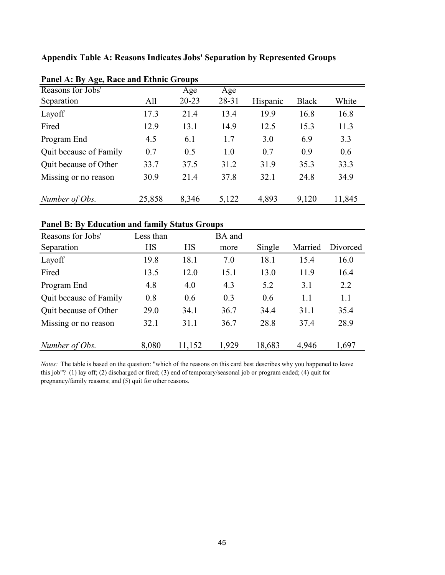**Appendix Table A: Reasons Indicates Jobs' Separation by Represented Groups**

| $\sigma$ /             |        | л.        |       |          |              |        |
|------------------------|--------|-----------|-------|----------|--------------|--------|
| Reasons for Jobs'      |        | Age       | Age   |          |              |        |
| Separation             | All    | $20 - 23$ | 28-31 | Hispanic | <b>Black</b> | White  |
| Layoff                 | 17.3   | 21.4      | 13.4  | 19.9     | 16.8         | 16.8   |
| Fired                  | 12.9   | 13.1      | 14.9  | 12.5     | 15.3         | 11.3   |
| Program End            | 4.5    | 6.1       | 1.7   | 3.0      | 6.9          | 3.3    |
| Quit because of Family | 0.7    | 0.5       | 1.0   | 0.7      | 0.9          | 0.6    |
| Quit because of Other  | 33.7   | 37.5      | 31.2  | 31.9     | 35.3         | 33.3   |
| Missing or no reason   | 30.9   | 21.4      | 37.8  | 32.1     | 24.8         | 34.9   |
| Number of Obs.         | 25,858 | 8,346     | 5,122 | 4,893    | 9,120        | 11,845 |

| Panel A: By Age, Race and Ethnic Groups |  |  |  |  |  |  |  |  |
|-----------------------------------------|--|--|--|--|--|--|--|--|
|-----------------------------------------|--|--|--|--|--|--|--|--|

### **Panel B: By Education and family Status Groups**

| Reasons for Jobs'      | Less than |           | BA and |        |         |          |
|------------------------|-----------|-----------|--------|--------|---------|----------|
| Separation             | <b>HS</b> | <b>HS</b> | more   | Single | Married | Divorced |
| Layoff                 | 19.8      | 18.1      | 7.0    | 18.1   | 15.4    | 16.0     |
| Fired                  | 13.5      | 12.0      | 15.1   | 13.0   | 11.9    | 16.4     |
| Program End            | 4.8       | 4.0       | 4.3    | 5.2    | 3.1     | 2.2      |
| Quit because of Family | 0.8       | 0.6       | 0.3    | 0.6    | 1.1     | 1.1      |
| Quit because of Other  | 29.0      | 34.1      | 36.7   | 34.4   | 31.1    | 35.4     |
| Missing or no reason   | 32.1      | 31.1      | 36.7   | 28.8   | 37.4    | 28.9     |
| Number of Obs.         | 8,080     | 11,152    | 1,929  | 18,683 | 4,946   | 1,697    |

*Notes:* The table is based on the question: "which of the reasons on this card best describes why you happened to leave this job"? (1) lay off; (2) discharged or fired; (3) end of temporary/seasonal job or program ended; (4) quit for pregnancy/family reasons; and (5) quit for other reasons.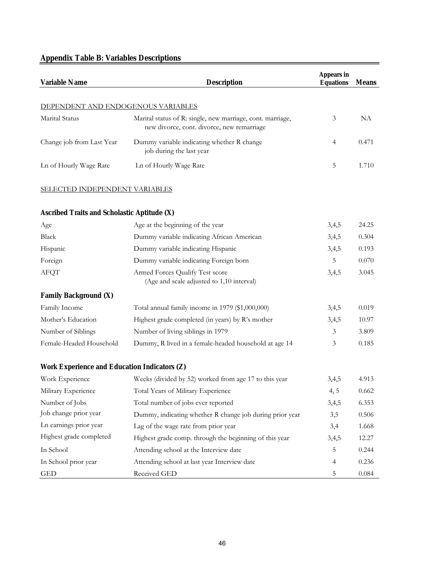# **Appendix Table B: Variables Descriptions**

| <b>Variable Name</b>                               | <b>Description</b>                                                                                       | <b>Appears in</b><br><b>Equations</b> | <b>Means</b> |  |  |
|----------------------------------------------------|----------------------------------------------------------------------------------------------------------|---------------------------------------|--------------|--|--|
| DEPENDENT AND ENDOGENOUS VARIABLES                 |                                                                                                          |                                       |              |  |  |
| Marital Status                                     | Marital status of R: single, new marriage, cont. marriage,<br>new divorce, cont. divorce, new remarriage | 3                                     | NA           |  |  |
| Change job from Last Year                          | Dummy variable indicating whether R change<br>job during the last year                                   | $\overline{4}$                        | 0.471        |  |  |
| Ln of Hourly Wage Rate                             | 5                                                                                                        | 1.710                                 |              |  |  |
| <b>SELECTED INDEPENDENT VARIABLES</b>              |                                                                                                          |                                       |              |  |  |
| <b>Ascribed Traits and Scholastic Aptitude (X)</b> |                                                                                                          |                                       |              |  |  |
| Age                                                | Age at the beginning of the year                                                                         | 3,4,5                                 | 24.25        |  |  |
| Black                                              | Dummy variable indicating African American                                                               | 3,4,5                                 | 0.304        |  |  |
| Hispanic                                           | Dummy variable indicating Hispanic                                                                       | 3,4,5                                 | 0.193        |  |  |
| Foreign                                            | Dummy variable indicating Foreign born                                                                   | 5                                     | 0.070        |  |  |
| <b>AFQT</b>                                        | Armed Forces Qualify Test score<br>(Age and scale adjusted to 1,10 interval)                             |                                       |              |  |  |
| <b>Family Background (X)</b>                       |                                                                                                          |                                       |              |  |  |
| Family Income                                      | Total annual family income in 1979 (\$1,000,000)                                                         | 3,4,5                                 | 0.019        |  |  |
| Mother's Education                                 | Highest grade completed (in years) by R's mother                                                         | 3,4,5                                 | 10.97        |  |  |
| Number of Siblings                                 | Number of living siblings in 1979                                                                        | 3                                     | 3.809        |  |  |
| Female-Headed Household                            | Dummy, R lived in a female-headed household at age 14                                                    | 3                                     | 0.185        |  |  |
| Work Experience and Education Indicators (Z)       |                                                                                                          |                                       |              |  |  |
| Work Experience                                    | Weeks (divided by 52) worked from age 17 to this year                                                    | 3,4,5                                 | 4.913        |  |  |
| Military Experience                                | Total Years of Military Experience                                                                       | 4, 5                                  | 0.662        |  |  |
| Number of Jobs                                     | Total number of jobs ever reported                                                                       | 3,4,5                                 | 6.353        |  |  |
| Job change prior year                              | Dummy, indicating whether R change job during prior year                                                 | 3,5                                   | 0.506        |  |  |
| Ln earnings prior year                             | Lag of the wage rate from prior year                                                                     | 3,4                                   | 1.668        |  |  |
| Highest grade completed                            | Highest grade comp. through the beginning of this year                                                   | 3,4,5                                 | 12.27        |  |  |
| In School                                          | Attending school at the Interview date                                                                   | 5                                     | 0.244        |  |  |
| In School prior year                               | Attending school at last year Interview date                                                             | $\overline{4}$                        | 0.236        |  |  |
| <b>GED</b>                                         | Received GED                                                                                             | 5                                     | 0.084        |  |  |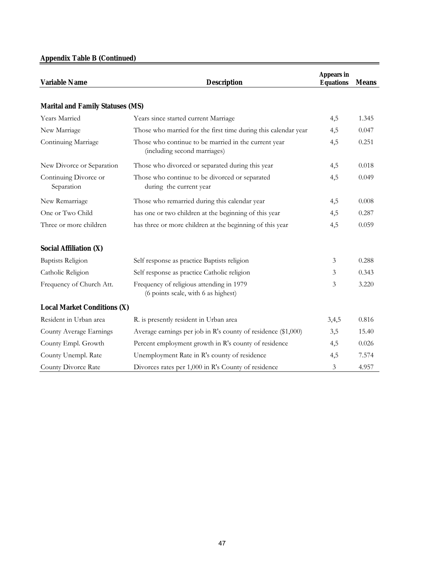## **Appendix Table B (Continued)**

| <b>Variable Name</b>                    | <b>Description</b>                                                                   | <b>Appears in</b><br><b>Equations</b> | <b>Means</b> |  |
|-----------------------------------------|--------------------------------------------------------------------------------------|---------------------------------------|--------------|--|
| <b>Marital and Family Statuses (MS)</b> |                                                                                      |                                       |              |  |
| <b>Years Married</b>                    | Years since started current Marriage                                                 | 4,5                                   | 1.345        |  |
| New Marriage                            | Those who married for the first time during this calendar year                       | 4,5                                   | 0.047        |  |
| Continuing Marriage                     | Those who continue to be married in the current year<br>(including second marriages) | 4,5                                   | 0.251        |  |
| New Divorce or Separation               | Those who divorced or separated during this year                                     | 4,5                                   | 0.018        |  |
| Continuing Divorce or<br>Separation     | Those who continue to be divorced or separated<br>during the current year            | 4,5                                   | 0.049        |  |
| New Remarriage                          | Those who remarried during this calendar year                                        | 4,5                                   | 0.008        |  |
| One or Two Child                        | has one or two children at the beginning of this year                                | 4,5                                   | 0.287        |  |
| Three or more children                  | has three or more children at the beginning of this year                             | 4,5                                   | 0.059        |  |
| <b>Social Affiliation (X)</b>           |                                                                                      |                                       |              |  |
| <b>Baptists Religion</b>                | Self response as practice Baptists religion                                          | 3                                     | 0.288        |  |
| Catholic Religion                       | Self response as practice Catholic religion                                          | 3                                     | 0.343        |  |
| Frequency of Church Att.                | Frequency of religious attending in 1979<br>(6 points scale, with 6 as highest)      | 3                                     | 3.220        |  |
| <b>Local Market Conditions (X)</b>      |                                                                                      |                                       |              |  |
| Resident in Urban area                  | R. is presently resident in Urban area                                               | 3,4,5                                 | 0.816        |  |
| County Average Earnings                 | Average earnings per job in R's county of residence (\$1,000)                        | 3,5                                   | 15.40        |  |
| County Empl. Growth                     | Percent employment growth in R's county of residence                                 | 4,5                                   | 0.026        |  |
| County Unempl. Rate                     | Unemployment Rate in R's county of residence                                         | 4,5                                   | 7.574        |  |
| County Divorce Rate                     | Divorces rates per 1,000 in R's County of residence                                  | 3                                     | 4.957        |  |